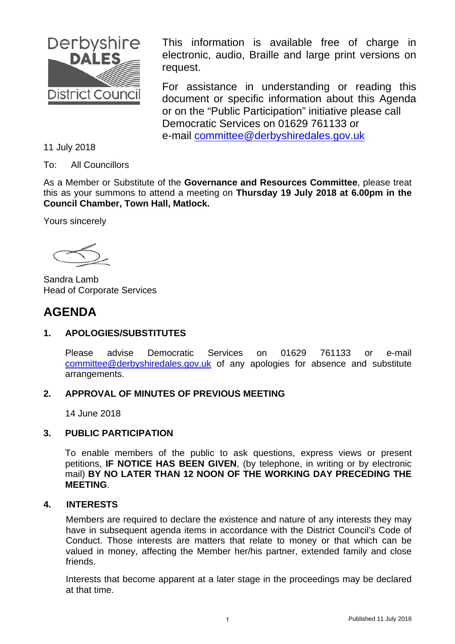

This information is available free of charge in electronic, audio, Braille and large print versions on request.

For assistance in understanding or reading this document or specific information about this Agenda or on the "Public Participation" initiative please call Democratic Services on 01629 761133 or e-mail committee@derbyshiredales.gov.uk

11 July 2018

To: All Councillors

As a Member or Substitute of the **Governance and Resources Committee**, please treat this as your summons to attend a meeting on **Thursday 19 July 2018 at 6.00pm in the Council Chamber, Town Hall, Matlock.**

Yours sincerely

Sandra Lamb Head of Corporate Services

## **AGENDA**

### **1. APOLOGIES/SUBSTITUTES**

Please advise Democratic Services on 01629 761133 or e-mail committee@derbyshiredales.gov.uk of any apologies for absence and substitute arrangements.

### **2. APPROVAL OF MINUTES OF PREVIOUS MEETING**

14 June 2018

### **3. PUBLIC PARTICIPATION**

To enable members of the public to ask questions, express views or present petitions, **IF NOTICE HAS BEEN GIVEN**, (by telephone, in writing or by electronic mail) **BY NO LATER THAN 12 NOON OF THE WORKING DAY PRECEDING THE MEETING**.

### **4. INTERESTS**

Members are required to declare the existence and nature of any interests they may have in subsequent agenda items in accordance with the District Council's Code of Conduct. Those interests are matters that relate to money or that which can be valued in money, affecting the Member her/his partner, extended family and close friends.

Interests that become apparent at a later stage in the proceedings may be declared at that time.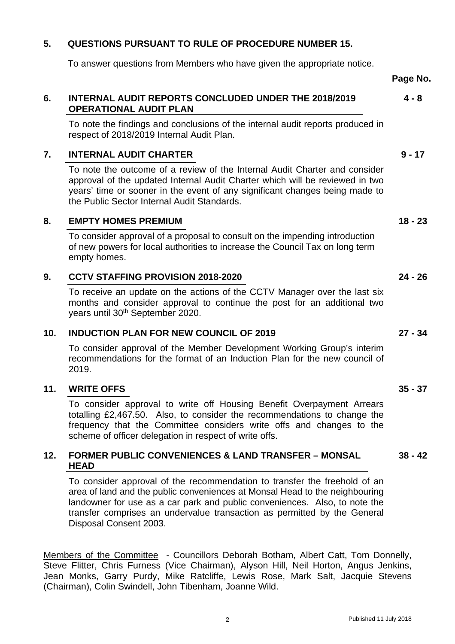### <span id="page-1-0"></span>**5. QUESTIONS PURSUANT TO RULE OF PROCEDURE NUMBER 15.**

To answer questions from Members who have given the appropriate notice.

#### **6. [INTERNAL AUDIT REPORTS CONCLUDED UNDER THE 2018/2019](#page-3-0) OPERATIONAL AUDIT PLAN 4 - 8**

To note the findings and conclusions of the internal audit reports produced in respect of 2018/2019 Internal Audit Plan.

### **7. [INTERNAL AUDIT CHARTER](#page-8-0)**

To note the outcome of a review of the Internal Audit Charter and consider approval of the updated Internal Audit Charter which will be reviewed in two years' time or sooner in the event of any significant changes being made to the Public Sector Internal Audit Standards.

### **8. [EMPTY HOMES PREMIUM](#page-17-0)**

To consider approval of a proposal to consult on the impending introduction of new powers for local authorities to increase the Council Tax on long term empty homes.

### **9. [CCTV STAFFING PROVISION 2018-2020](#page-23-0)**

To receive an update on the actions of the CCTV Manager over the last six months and consider approval to continue the post for an additional two years until 30th September 2020.

### **10. [INDUCTION PLAN FOR NEW COUNCIL OF 2019](#page-26-0)**

To consider approval of the Member Development Working Group's interim recommendations for the format of an Induction Plan for the new council of 2019.

### **11. [WRITE OFFS](#page-34-0)**

To consider approval to write off Housing Benefit Overpayment Arrears totalling £2,467.50. Also, to consider the recommendations to change the frequency that the Committee considers write offs and changes to the scheme of officer delegation in respect of write offs.

#### **12. [FORMER PUBLIC CONVENIENCES & LAND TRANSFER – MONSAL](#page-37-0) HEAD 38 - 42**

To consider approval of the recommendation to transfer the freehold of an area of land and the public conveniences at Monsal Head to the neighbouring landowner for use as a car park and public conveniences. Also, to note the transfer comprises an undervalue transaction as permitted by the General Disposal Consent 2003.

Members of the Committee - Councillors Deborah Botham, Albert Catt, Tom Donnelly, Steve Flitter, Chris Furness (Vice Chairman), Alyson Hill, Neil Horton, Angus Jenkins, Jean Monks, Garry Purdy, Mike Ratcliffe, Lewis Rose, Mark Salt, Jacquie Stevens (Chairman), Colin Swindell, John Tibenham, Joanne Wild.

Published 11 July 2018

**18 - 23** 

**9 - 17** 

**Page No.** 

#### **24 - 26**

## **27 - 34**

#### **35 - 37**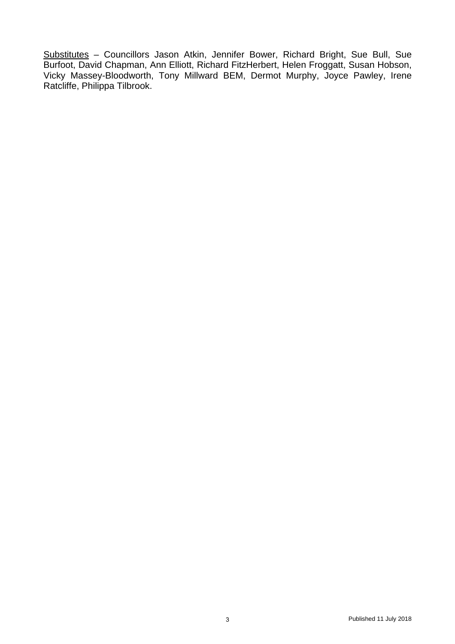Substitutes – Councillors Jason Atkin, Jennifer Bower, Richard Bright, Sue Bull, Sue Burfoot, David Chapman, Ann Elliott, Richard FitzHerbert, Helen Froggatt, Susan Hobson, Vicky Massey-Bloodworth, Tony Millward BEM, Dermot Murphy, Joyce Pawley, Irene Ratcliffe, Philippa Tilbrook.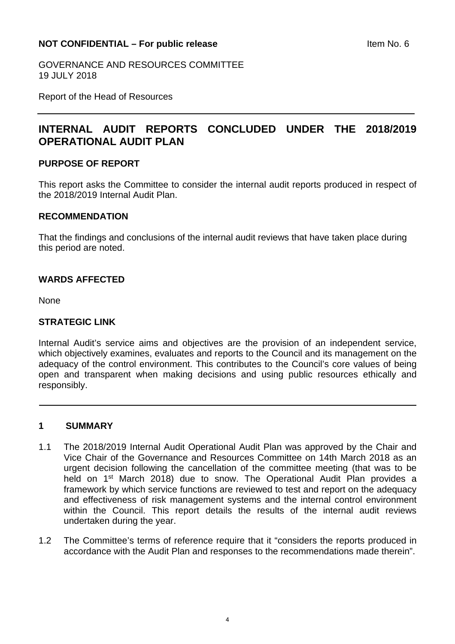### <span id="page-3-0"></span>**NOT CONFIDENTIAL – For public release Internal CONFIDENTIAL – For public release**

GOVERNANCE AND RESOURCES COMMITTEE 19 JULY 2018

Report of the Head of Resources

## **INTERNAL AUDIT REPORTS CONCLUDED UNDER THE 2018/2019 OPERATIONAL AUDIT PLAN**

### **PURPOSE OF REPORT**

This report asks the Committee to consider the internal audit reports produced in respect of the 2018/2019 Internal Audit Plan.

### **RECOMMENDATION**

That the findings and conclusions of the internal audit reviews that have taken place during this period are noted.

### **WARDS AFFECTED**

None

### **STRATEGIC LINK**

Internal Audit's service aims and objectives are the provision of an independent service, which objectively examines, evaluates and reports to the Council and its management on the adequacy of the control environment. This contributes to the Council's core values of being open and transparent when making decisions and using public resources ethically and responsibly.

### **1 SUMMARY**

- 1.1 The 2018/2019 Internal Audit Operational Audit Plan was approved by the Chair and Vice Chair of the Governance and Resources Committee on 14th March 2018 as an urgent decision following the cancellation of the committee meeting (that was to be held on 1<sup>st</sup> March 2018) due to snow. The Operational Audit Plan provides a framework by which service functions are reviewed to test and report on the adequacy and effectiveness of risk management systems and the internal control environment within the Council. This report details the results of the internal audit reviews undertaken during the year.
- 1.2 The Committee's terms of reference require that it "considers the reports produced in accordance with the Audit Plan and responses to the recommendations made therein".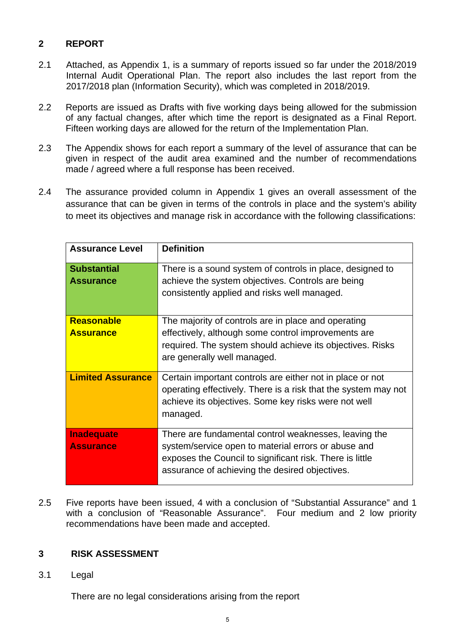### **2 REPORT**

- 2.1 Attached, as Appendix 1, is a summary of reports issued so far under the 2018/2019 Internal Audit Operational Plan. The report also includes the last report from the 2017/2018 plan (Information Security), which was completed in 2018/2019.
- 2.2 Reports are issued as Drafts with five working days being allowed for the submission of any factual changes, after which time the report is designated as a Final Report. Fifteen working days are allowed for the return of the Implementation Plan.
- 2.3 The Appendix shows for each report a summary of the level of assurance that can be given in respect of the audit area examined and the number of recommendations made / agreed where a full response has been received.
- 2.4 The assurance provided column in Appendix 1 gives an overall assessment of the assurance that can be given in terms of the controls in place and the system's ability to meet its objectives and manage risk in accordance with the following classifications:

| <b>Assurance Level</b>                | <b>Definition</b>                                                                                                                                                                                                          |
|---------------------------------------|----------------------------------------------------------------------------------------------------------------------------------------------------------------------------------------------------------------------------|
| <b>Substantial</b><br>Assurance       | There is a sound system of controls in place, designed to<br>achieve the system objectives. Controls are being<br>consistently applied and risks well managed.                                                             |
| <b>Reasonable</b><br><b>Assurance</b> | The majority of controls are in place and operating<br>effectively, although some control improvements are<br>required. The system should achieve its objectives. Risks<br>are generally well managed.                     |
| <b>Limited Assurance</b>              | Certain important controls are either not in place or not<br>operating effectively. There is a risk that the system may not<br>achieve its objectives. Some key risks were not well<br>managed.                            |
| <b>Inadequate</b><br><b>Assurance</b> | There are fundamental control weaknesses, leaving the<br>system/service open to material errors or abuse and<br>exposes the Council to significant risk. There is little<br>assurance of achieving the desired objectives. |

2.5 Five reports have been issued, 4 with a conclusion of "Substantial Assurance" and 1 with a conclusion of "Reasonable Assurance". Four medium and 2 low priority recommendations have been made and accepted.

### **3 RISK ASSESSMENT**

3.1 Legal

There are no legal considerations arising from the report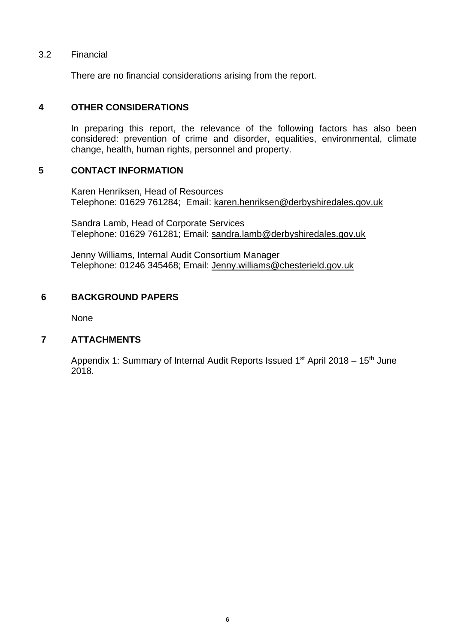### 3.2 Financial

There are no financial considerations arising from the report.

### **4 OTHER CONSIDERATIONS**

In preparing this report, the relevance of the following factors has also been considered: prevention of crime and disorder, equalities, environmental, climate change, health, human rights, personnel and property.

### **5 CONTACT INFORMATION**

 Karen Henriksen, Head of Resources Telephone: 01629 761284; Email: karen.henriksen@derbyshiredales.gov.uk

 Sandra Lamb, Head of Corporate Services Telephone: 01629 761281; Email: sandra.lamb@derbyshiredales.gov.uk

Jenny Williams, Internal Audit Consortium Manager Telephone: 01246 345468; Email: Jenny.williams@chesterield.gov.uk

### **6 BACKGROUND PAPERS**

None

### **7 ATTACHMENTS**

Appendix 1: Summary of Internal Audit Reports Issued  $1<sup>st</sup>$  April 2018 – 15<sup>th</sup> June 2018.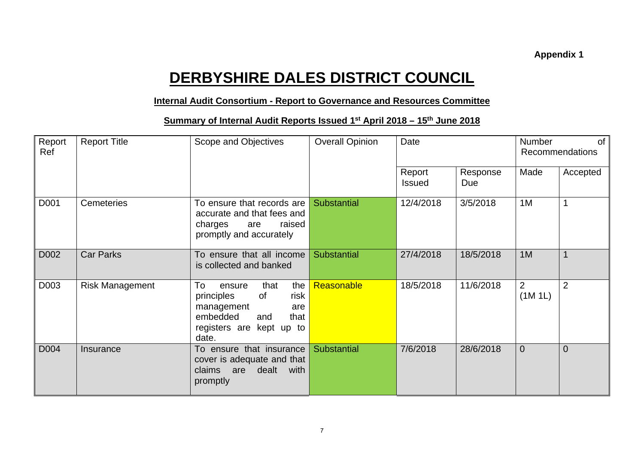# **DERBYSHIRE DALES DISTRICT COUNCIL**

### **Internal Audit Consortium - Report to Governance and Resources Committee**

### **<u>Summary of Internal Audit Reports Issued 1st April 2018 – 15th June 2018</u>**

| Report<br>Ref | <b>Report Title</b><br>Scope and Objectives |                                                                                                                                              | <b>Overall Opinion</b> | Date                    |                 | <b>Number</b><br>0f<br><b>Recommendations</b> |                |
|---------------|---------------------------------------------|----------------------------------------------------------------------------------------------------------------------------------------------|------------------------|-------------------------|-----------------|-----------------------------------------------|----------------|
|               |                                             |                                                                                                                                              |                        | Report<br><b>Issued</b> | Response<br>Due | Made                                          | Accepted       |
| D001          | Cemeteries                                  | To ensure that records are<br>accurate and that fees and<br>charges<br>raised<br>are<br>promptly and accurately                              | Substantial            | 12/4/2018               | 3/5/2018        | 1M                                            |                |
| D002          | <b>Car Parks</b>                            | To ensure that all income<br>is collected and banked                                                                                         | <b>Substantial</b>     | 27/4/2018               | 18/5/2018       | 1M                                            |                |
| D003          | <b>Risk Management</b>                      | To<br>the<br>that<br>ensure<br>risk<br>principles<br>0f<br>management<br>are<br>embedded<br>that<br>and<br>registers are kept up to<br>date. | Reasonable             | 18/5/2018               | 11/6/2018       | $\overline{2}$<br>(1M 1L)                     | $\overline{2}$ |
| D004          | Insurance                                   | To ensure that insurance<br>cover is adequate and that<br>dealt with<br>claims are<br>promptly                                               | <b>Substantial</b>     | 7/6/2018                | 28/6/2018       | $\overline{0}$                                | $\overline{0}$ |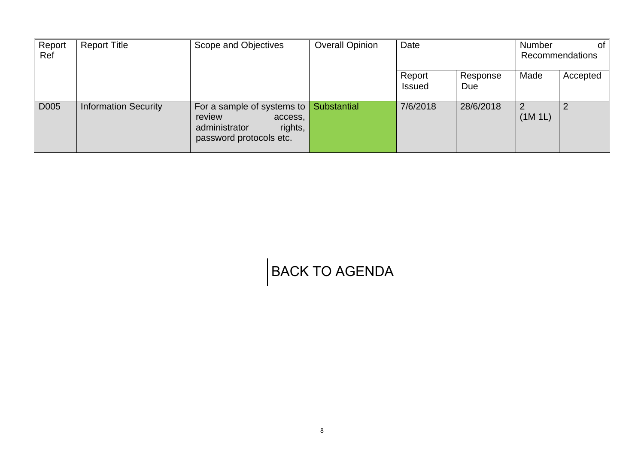| Report | <b>Report Title</b>         | Scope and Objectives                                                                                           | <b>Overall Opinion</b> | Date                    |                 | <b>Number</b> | ot.                    |
|--------|-----------------------------|----------------------------------------------------------------------------------------------------------------|------------------------|-------------------------|-----------------|---------------|------------------------|
| Ref    |                             |                                                                                                                |                        |                         |                 |               | <b>Recommendations</b> |
|        |                             |                                                                                                                |                        | Report<br><b>Issued</b> | Response<br>Due | Made          | Accepted               |
| D005   | <b>Information Security</b> | For a sample of systems to $\vert$<br>review<br>access,<br>administrator<br>rights,<br>password protocols etc. | Substantial            | 7/6/2018                | 28/6/2018       | (1M 1L)       |                        |

# [BACK TO AGENDA](#page-1-0)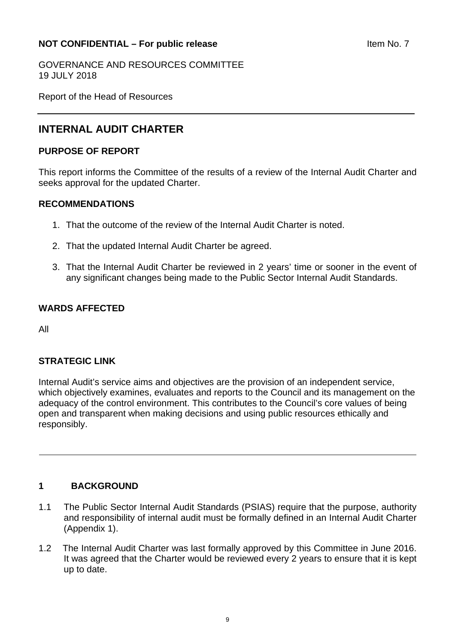### <span id="page-8-0"></span>**NOT CONFIDENTIAL – For public release and a set of the SNOT CONFIDENTIAL – For public release**

GOVERNANCE AND RESOURCES COMMITTEE 19 JULY 2018

Report of the Head of Resources

## **INTERNAL AUDIT CHARTER**

### **PURPOSE OF REPORT**

This report informs the Committee of the results of a review of the Internal Audit Charter and seeks approval for the updated Charter.

### **RECOMMENDATIONS**

- 1. That the outcome of the review of the Internal Audit Charter is noted.
- 2. That the updated Internal Audit Charter be agreed.
- 3. That the Internal Audit Charter be reviewed in 2 years' time or sooner in the event of any significant changes being made to the Public Sector Internal Audit Standards.

### **WARDS AFFECTED**

All

### **STRATEGIC LINK**

Internal Audit's service aims and objectives are the provision of an independent service, which objectively examines, evaluates and reports to the Council and its management on the adequacy of the control environment. This contributes to the Council's core values of being open and transparent when making decisions and using public resources ethically and responsibly.

### **1 BACKGROUND**

- 1.1 The Public Sector Internal Audit Standards (PSIAS) require that the purpose, authority and responsibility of internal audit must be formally defined in an Internal Audit Charter (Appendix 1).
- 1.2 The Internal Audit Charter was last formally approved by this Committee in June 2016. It was agreed that the Charter would be reviewed every 2 years to ensure that it is kept up to date.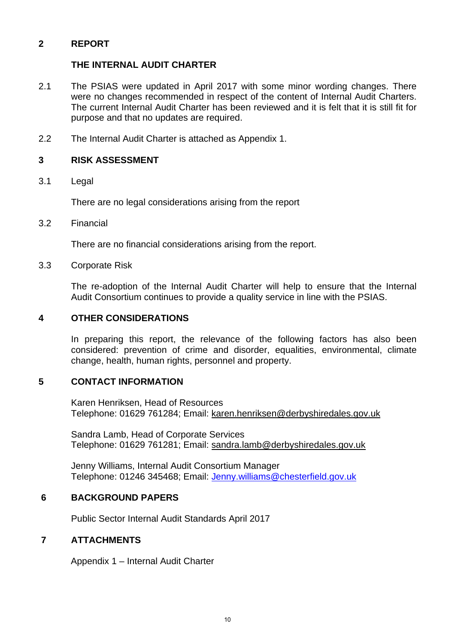### **2 REPORT**

### **THE INTERNAL AUDIT CHARTER**

- 2.1 The PSIAS were updated in April 2017 with some minor wording changes. There were no changes recommended in respect of the content of Internal Audit Charters. The current Internal Audit Charter has been reviewed and it is felt that it is still fit for purpose and that no updates are required.
- 2.2 The Internal Audit Charter is attached as Appendix 1.

### **3 RISK ASSESSMENT**

3.1 Legal

There are no legal considerations arising from the report

3.2 Financial

There are no financial considerations arising from the report.

3.3 Corporate Risk

 The re-adoption of the Internal Audit Charter will help to ensure that the Internal Audit Consortium continues to provide a quality service in line with the PSIAS.

### **4 OTHER CONSIDERATIONS**

In preparing this report, the relevance of the following factors has also been considered: prevention of crime and disorder, equalities, environmental, climate change, health, human rights, personnel and property.

### **5 CONTACT INFORMATION**

 Karen Henriksen, Head of Resources Telephone: 01629 761284; Email: karen.henriksen@derbyshiredales.gov.uk

 Sandra Lamb, Head of Corporate Services Telephone: 01629 761281; Email: sandra.lamb@derbyshiredales.gov.uk

Jenny Williams, Internal Audit Consortium Manager Telephone: 01246 345468; Email: Jenny.williams@chesterfield.gov.uk

### **6 BACKGROUND PAPERS**

Public Sector Internal Audit Standards April 2017

### **7 ATTACHMENTS**

Appendix 1 – Internal Audit Charter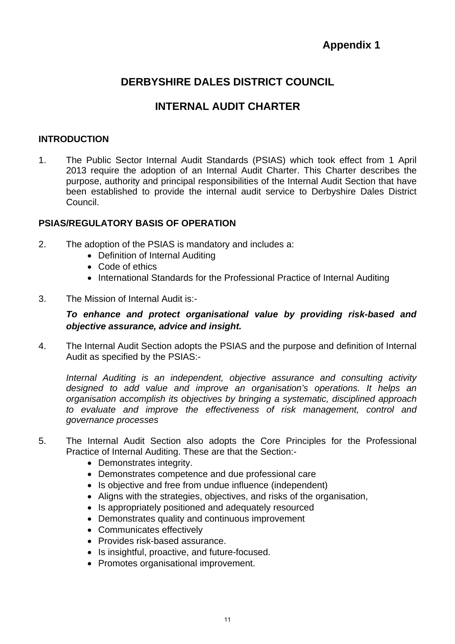## **Appendix 1**

## **DERBYSHIRE DALES DISTRICT COUNCIL**

## **INTERNAL AUDIT CHARTER**

### **INTRODUCTION**

1. The Public Sector Internal Audit Standards (PSIAS) which took effect from 1 April 2013 require the adoption of an Internal Audit Charter. This Charter describes the purpose, authority and principal responsibilities of the Internal Audit Section that have been established to provide the internal audit service to Derbyshire Dales District Council.

### **PSIAS/REGULATORY BASIS OF OPERATION**

- 2. The adoption of the PSIAS is mandatory and includes a:
	- Definition of Internal Auditing
	- Code of ethics
	- International Standards for the Professional Practice of Internal Auditing
- 3. The Mission of Internal Audit is:-

### *To enhance and protect organisational value by providing risk-based and objective assurance, advice and insight.*

4. The Internal Audit Section adopts the PSIAS and the purpose and definition of Internal Audit as specified by the PSIAS:-

*Internal Auditing is an independent, objective assurance and consulting activity designed to add value and improve an organisation's operations. It helps an organisation accomplish its objectives by bringing a systematic, disciplined approach to evaluate and improve the effectiveness of risk management, control and governance processes* 

- 5. The Internal Audit Section also adopts the Core Principles for the Professional Practice of Internal Auditing. These are that the Section:-
	- Demonstrates integrity.
	- Demonstrates competence and due professional care
	- Is objective and free from undue influence (independent)
	- Aligns with the strategies, objectives, and risks of the organisation,
	- Is appropriately positioned and adequately resourced
	- Demonstrates quality and continuous improvement
	- Communicates effectively
	- Provides risk-based assurance.
	- Is insightful, proactive, and future-focused.
	- Promotes organisational improvement.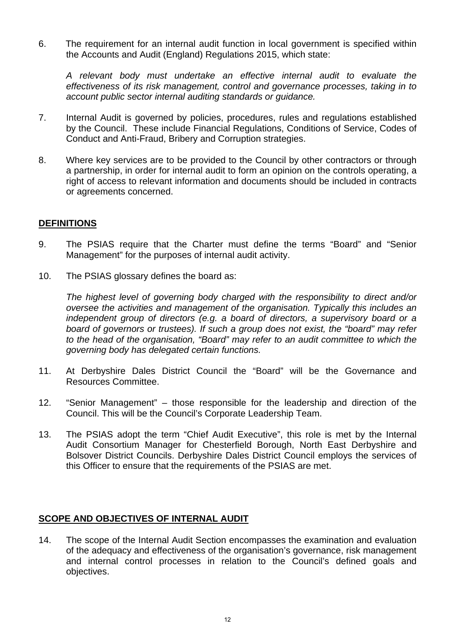6. The requirement for an internal audit function in local government is specified within the Accounts and Audit (England) Regulations 2015, which state:

*A relevant body must undertake an effective internal audit to evaluate the effectiveness of its risk management, control and governance processes, taking in to account public sector internal auditing standards or guidance.* 

- 7. Internal Audit is governed by policies, procedures, rules and regulations established by the Council. These include Financial Regulations, Conditions of Service, Codes of Conduct and Anti-Fraud, Bribery and Corruption strategies.
- 8. Where key services are to be provided to the Council by other contractors or through a partnership, in order for internal audit to form an opinion on the controls operating, a right of access to relevant information and documents should be included in contracts or agreements concerned.

### **DEFINITIONS**

- 9. The PSIAS require that the Charter must define the terms "Board" and "Senior Management" for the purposes of internal audit activity.
- 10. The PSIAS glossary defines the board as:

*The highest level of governing body charged with the responsibility to direct and/or oversee the activities and management of the organisation. Typically this includes an independent group of directors (e.g. a board of directors, a supervisory board or a board of governors or trustees). If such a group does not exist, the "board" may refer to the head of the organisation, "Board" may refer to an audit committee to which the governing body has delegated certain functions.* 

- 11. At Derbyshire Dales District Council the "Board" will be the Governance and Resources Committee.
- 12. "Senior Management" those responsible for the leadership and direction of the Council. This will be the Council's Corporate Leadership Team.
- 13. The PSIAS adopt the term "Chief Audit Executive", this role is met by the Internal Audit Consortium Manager for Chesterfield Borough, North East Derbyshire and Bolsover District Councils. Derbyshire Dales District Council employs the services of this Officer to ensure that the requirements of the PSIAS are met.

### **SCOPE AND OBJECTIVES OF INTERNAL AUDIT**

14. The scope of the Internal Audit Section encompasses the examination and evaluation of the adequacy and effectiveness of the organisation's governance, risk management and internal control processes in relation to the Council's defined goals and objectives.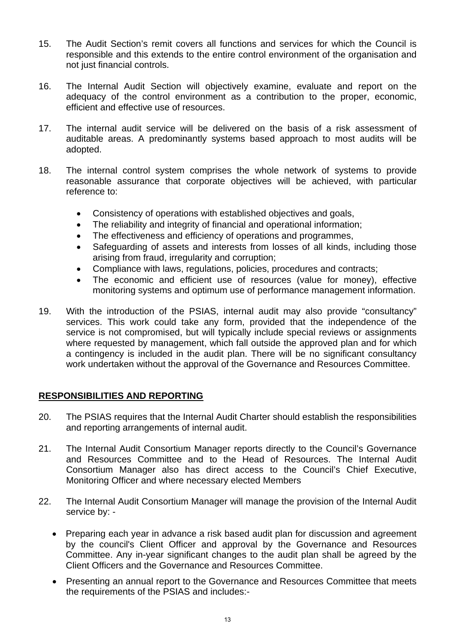- 15. The Audit Section's remit covers all functions and services for which the Council is responsible and this extends to the entire control environment of the organisation and not just financial controls.
- 16. The Internal Audit Section will objectively examine, evaluate and report on the adequacy of the control environment as a contribution to the proper, economic, efficient and effective use of resources.
- 17. The internal audit service will be delivered on the basis of a risk assessment of auditable areas. A predominantly systems based approach to most audits will be adopted.
- 18. The internal control system comprises the whole network of systems to provide reasonable assurance that corporate objectives will be achieved, with particular reference to:
	- Consistency of operations with established objectives and goals,
	- The reliability and integrity of financial and operational information;
	- The effectiveness and efficiency of operations and programmes,
	- Safeguarding of assets and interests from losses of all kinds, including those arising from fraud, irregularity and corruption;
	- Compliance with laws, regulations, policies, procedures and contracts;
	- The economic and efficient use of resources (value for money), effective monitoring systems and optimum use of performance management information.
- 19. With the introduction of the PSIAS, internal audit may also provide "consultancy" services. This work could take any form, provided that the independence of the service is not compromised, but will typically include special reviews or assignments where requested by management, which fall outside the approved plan and for which a contingency is included in the audit plan. There will be no significant consultancy work undertaken without the approval of the Governance and Resources Committee.

### **RESPONSIBILITIES AND REPORTING**

- 20. The PSIAS requires that the Internal Audit Charter should establish the responsibilities and reporting arrangements of internal audit.
- 21. The Internal Audit Consortium Manager reports directly to the Council's Governance and Resources Committee and to the Head of Resources. The Internal Audit Consortium Manager also has direct access to the Council's Chief Executive, Monitoring Officer and where necessary elected Members
- 22. The Internal Audit Consortium Manager will manage the provision of the Internal Audit service by: -
	- Preparing each year in advance a risk based audit plan for discussion and agreement by the council's Client Officer and approval by the Governance and Resources Committee. Any in-year significant changes to the audit plan shall be agreed by the Client Officers and the Governance and Resources Committee.
	- Presenting an annual report to the Governance and Resources Committee that meets the requirements of the PSIAS and includes:-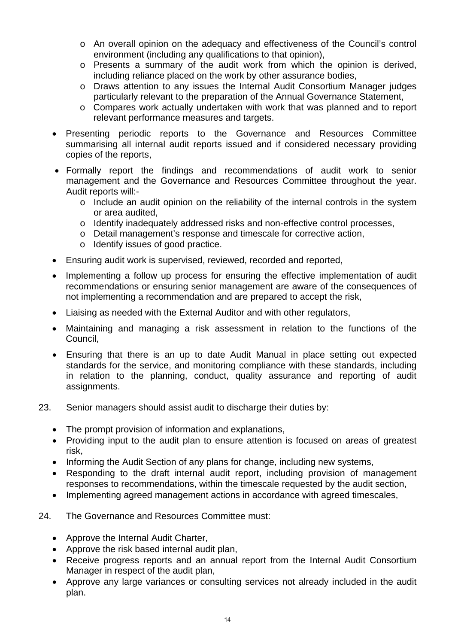- o An overall opinion on the adequacy and effectiveness of the Council's control environment (including any qualifications to that opinion),
- o Presents a summary of the audit work from which the opinion is derived, including reliance placed on the work by other assurance bodies,
- o Draws attention to any issues the Internal Audit Consortium Manager judges particularly relevant to the preparation of the Annual Governance Statement,
- o Compares work actually undertaken with work that was planned and to report relevant performance measures and targets.
- Presenting periodic reports to the Governance and Resources Committee summarising all internal audit reports issued and if considered necessary providing copies of the reports,
- Formally report the findings and recommendations of audit work to senior management and the Governance and Resources Committee throughout the year. Audit reports will:
	- o Include an audit opinion on the reliability of the internal controls in the system or area audited,
	- o Identify inadequately addressed risks and non-effective control processes,
	- o Detail management's response and timescale for corrective action,
	- o Identify issues of good practice.
- Ensuring audit work is supervised, reviewed, recorded and reported,
- Implementing a follow up process for ensuring the effective implementation of audit recommendations or ensuring senior management are aware of the consequences of not implementing a recommendation and are prepared to accept the risk,
- Liaising as needed with the External Auditor and with other regulators,
- Maintaining and managing a risk assessment in relation to the functions of the Council,
- Ensuring that there is an up to date Audit Manual in place setting out expected standards for the service, and monitoring compliance with these standards, including in relation to the planning, conduct, quality assurance and reporting of audit assignments.
- 23. Senior managers should assist audit to discharge their duties by:
	- The prompt provision of information and explanations,
	- Providing input to the audit plan to ensure attention is focused on areas of greatest risk,
	- Informing the Audit Section of any plans for change, including new systems,
	- Responding to the draft internal audit report, including provision of management responses to recommendations, within the timescale requested by the audit section,
	- Implementing agreed management actions in accordance with agreed timescales,
- 24. The Governance and Resources Committee must:
	- Approve the Internal Audit Charter,
	- Approve the risk based internal audit plan,
	- Receive progress reports and an annual report from the Internal Audit Consortium Manager in respect of the audit plan,
	- Approve any large variances or consulting services not already included in the audit plan.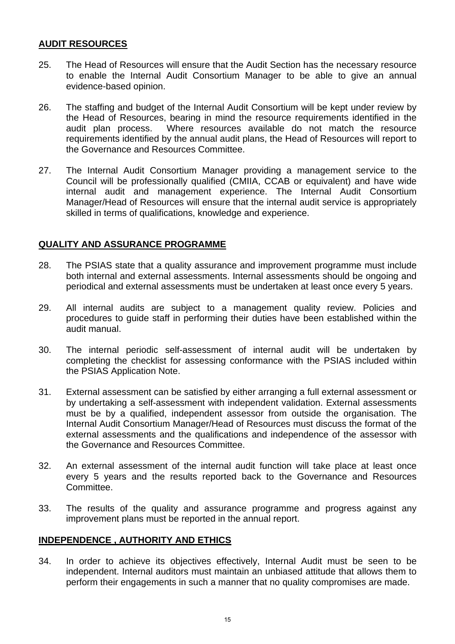### **AUDIT RESOURCES**

- 25. The Head of Resources will ensure that the Audit Section has the necessary resource to enable the Internal Audit Consortium Manager to be able to give an annual evidence-based opinion.
- 26. The staffing and budget of the Internal Audit Consortium will be kept under review by the Head of Resources, bearing in mind the resource requirements identified in the audit plan process. Where resources available do not match the resource requirements identified by the annual audit plans, the Head of Resources will report to the Governance and Resources Committee.
- 27. The Internal Audit Consortium Manager providing a management service to the Council will be professionally qualified (CMIIA, CCAB or equivalent) and have wide internal audit and management experience. The Internal Audit Consortium Manager/Head of Resources will ensure that the internal audit service is appropriately skilled in terms of qualifications, knowledge and experience.

### **QUALITY AND ASSURANCE PROGRAMME**

- 28. The PSIAS state that a quality assurance and improvement programme must include both internal and external assessments. Internal assessments should be ongoing and periodical and external assessments must be undertaken at least once every 5 years.
- 29. All internal audits are subject to a management quality review. Policies and procedures to guide staff in performing their duties have been established within the audit manual.
- 30. The internal periodic self-assessment of internal audit will be undertaken by completing the checklist for assessing conformance with the PSIAS included within the PSIAS Application Note.
- 31. External assessment can be satisfied by either arranging a full external assessment or by undertaking a self-assessment with independent validation. External assessments must be by a qualified, independent assessor from outside the organisation. The Internal Audit Consortium Manager/Head of Resources must discuss the format of the external assessments and the qualifications and independence of the assessor with the Governance and Resources Committee.
- 32. An external assessment of the internal audit function will take place at least once every 5 years and the results reported back to the Governance and Resources Committee.
- 33. The results of the quality and assurance programme and progress against any improvement plans must be reported in the annual report.

### **INDEPENDENCE , AUTHORITY AND ETHICS**

34. In order to achieve its objectives effectively, Internal Audit must be seen to be independent. Internal auditors must maintain an unbiased attitude that allows them to perform their engagements in such a manner that no quality compromises are made.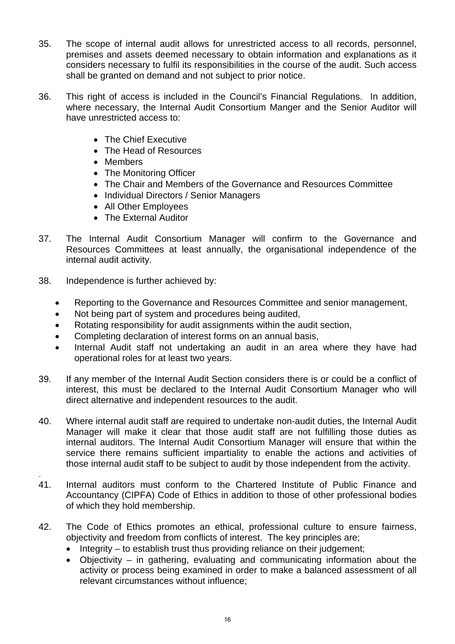- 35. The scope of internal audit allows for unrestricted access to all records, personnel, premises and assets deemed necessary to obtain information and explanations as it considers necessary to fulfil its responsibilities in the course of the audit. Such access shall be granted on demand and not subject to prior notice.
- 36. This right of access is included in the Council's Financial Regulations. In addition, where necessary, the Internal Audit Consortium Manger and the Senior Auditor will have unrestricted access to:
	- The Chief Executive
	- The Head of Resources
	- Members
	- The Monitoring Officer
	- The Chair and Members of the Governance and Resources Committee
	- Individual Directors / Senior Managers
	- All Other Employees
	- The External Auditor
- 37. The Internal Audit Consortium Manager will confirm to the Governance and Resources Committees at least annually, the organisational independence of the internal audit activity.
- 38. Independence is further achieved by:
	- Reporting to the Governance and Resources Committee and senior management,
	- Not being part of system and procedures being audited,
	- Rotating responsibility for audit assignments within the audit section,
	- Completing declaration of interest forms on an annual basis,
	- Internal Audit staff not undertaking an audit in an area where they have had operational roles for at least two years.
- 39. If any member of the Internal Audit Section considers there is or could be a conflict of interest, this must be declared to the Internal Audit Consortium Manager who will direct alternative and independent resources to the audit.
- 40. Where internal audit staff are required to undertake non-audit duties, the Internal Audit Manager will make it clear that those audit staff are not fulfilling those duties as internal auditors. The Internal Audit Consortium Manager will ensure that within the service there remains sufficient impartiality to enable the actions and activities of those internal audit staff to be subject to audit by those independent from the activity.
- . 41. Internal auditors must conform to the Chartered Institute of Public Finance and Accountancy (CIPFA) Code of Ethics in addition to those of other professional bodies of which they hold membership.
- 42. The Code of Ethics promotes an ethical, professional culture to ensure fairness, objectivity and freedom from conflicts of interest. The key principles are;
	- Integrity to establish trust thus providing reliance on their judgement;
	- Objectivity in gathering, evaluating and communicating information about the activity or process being examined in order to make a balanced assessment of all relevant circumstances without influence;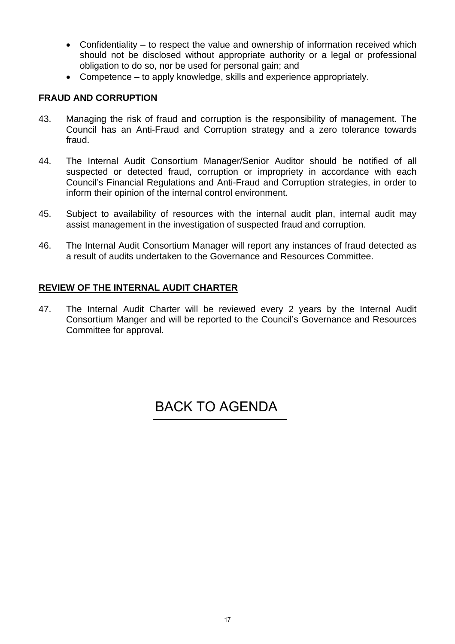- Confidentiality to respect the value and ownership of information received which should not be disclosed without appropriate authority or a legal or professional obligation to do so, nor be used for personal gain; and
- Competence to apply knowledge, skills and experience appropriately.

### **FRAUD AND CORRUPTION**

- 43. Managing the risk of fraud and corruption is the responsibility of management. The Council has an Anti-Fraud and Corruption strategy and a zero tolerance towards fraud.
- 44. The Internal Audit Consortium Manager/Senior Auditor should be notified of all suspected or detected fraud, corruption or impropriety in accordance with each Council's Financial Regulations and Anti-Fraud and Corruption strategies, in order to inform their opinion of the internal control environment.
- 45. Subject to availability of resources with the internal audit plan, internal audit may assist management in the investigation of suspected fraud and corruption.
- 46. The Internal Audit Consortium Manager will report any instances of fraud detected as a result of audits undertaken to the Governance and Resources Committee.

### **REVIEW OF THE INTERNAL AUDIT CHARTER**

47. The Internal Audit Charter will be reviewed every 2 years by the Internal Audit Consortium Manger and will be reported to the Council's Governance and Resources Committee for approval.

## [BACK TO AGENDA](#page-1-0)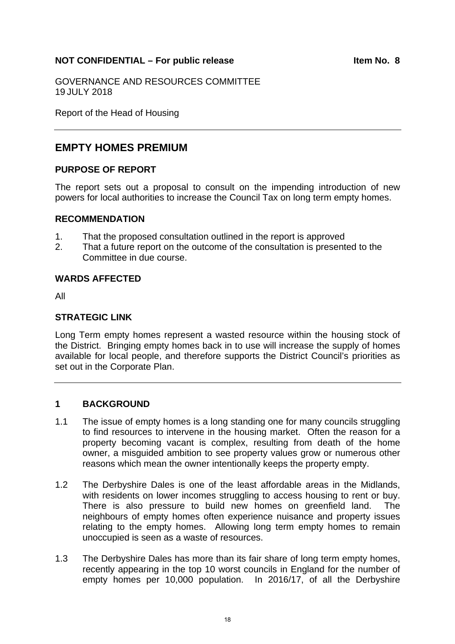### <span id="page-17-0"></span>NOT CONFIDENTIAL – For public release **Internal 2018** Item No. 8

GOVERNANCE AND RESOURCES COMMITTEE 19 JULY 2018

Report of the Head of Housing

## **EMPTY HOMES PREMIUM**

### **PURPOSE OF REPORT**

The report sets out a proposal to consult on the impending introduction of new powers for local authorities to increase the Council Tax on long term empty homes.

### **RECOMMENDATION**

- 1. That the proposed consultation outlined in the report is approved
- 2. That a future report on the outcome of the consultation is presented to the Committee in due course.

### **WARDS AFFECTED**

All

### **STRATEGIC LINK**

Long Term empty homes represent a wasted resource within the housing stock of the District. Bringing empty homes back in to use will increase the supply of homes available for local people, and therefore supports the District Council's priorities as set out in the Corporate Plan.

### **1 BACKGROUND**

- 1.1 The issue of empty homes is a long standing one for many councils struggling to find resources to intervene in the housing market. Often the reason for a property becoming vacant is complex, resulting from death of the home owner, a misguided ambition to see property values grow or numerous other reasons which mean the owner intentionally keeps the property empty.
- 1.2 The Derbyshire Dales is one of the least affordable areas in the Midlands, with residents on lower incomes struggling to access housing to rent or buy. There is also pressure to build new homes on greenfield land. The neighbours of empty homes often experience nuisance and property issues relating to the empty homes. Allowing long term empty homes to remain unoccupied is seen as a waste of resources.
- 1.3 The Derbyshire Dales has more than its fair share of long term empty homes, recently appearing in the top 10 worst councils in England for the number of empty homes per 10,000 population. In 2016/17, of all the Derbyshire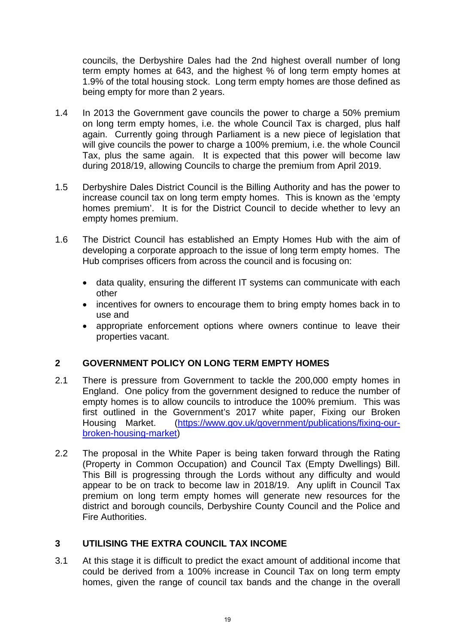councils, the Derbyshire Dales had the 2nd highest overall number of long term empty homes at 643, and the highest % of long term empty homes at 1.9% of the total housing stock. Long term empty homes are those defined as being empty for more than 2 years.

- 1.4 In 2013 the Government gave councils the power to charge a 50% premium on long term empty homes, i.e. the whole Council Tax is charged, plus half again. Currently going through Parliament is a new piece of legislation that will give councils the power to charge a 100% premium, i.e. the whole Council Tax, plus the same again. It is expected that this power will become law during 2018/19, allowing Councils to charge the premium from April 2019.
- 1.5 Derbyshire Dales District Council is the Billing Authority and has the power to increase council tax on long term empty homes. This is known as the 'empty homes premium'. It is for the District Council to decide whether to levy an empty homes premium.
- 1.6 The District Council has established an Empty Homes Hub with the aim of developing a corporate approach to the issue of long term empty homes. The Hub comprises officers from across the council and is focusing on:
	- data quality, ensuring the different IT systems can communicate with each other
	- incentives for owners to encourage them to bring empty homes back in to use and
	- appropriate enforcement options where owners continue to leave their properties vacant.

### **2 GOVERNMENT POLICY ON LONG TERM EMPTY HOMES**

- 2.1 There is pressure from Government to tackle the 200,000 empty homes in England. One policy from the government designed to reduce the number of empty homes is to allow councils to introduce the 100% premium. This was first outlined in the Government's 2017 white paper, Fixing our Broken Housing Market. (https://www.gov.uk/government/publications/fixing-ourbroken-housing-market)
- 2.2 The proposal in the White Paper is being taken forward through the Rating (Property in Common Occupation) and Council Tax (Empty Dwellings) Bill. This Bill is progressing through the Lords without any difficulty and would appear to be on track to become law in 2018/19. Any uplift in Council Tax premium on long term empty homes will generate new resources for the district and borough councils, Derbyshire County Council and the Police and Fire Authorities.

### **3 UTILISING THE EXTRA COUNCIL TAX INCOME**

3.1 At this stage it is difficult to predict the exact amount of additional income that could be derived from a 100% increase in Council Tax on long term empty homes, given the range of council tax bands and the change in the overall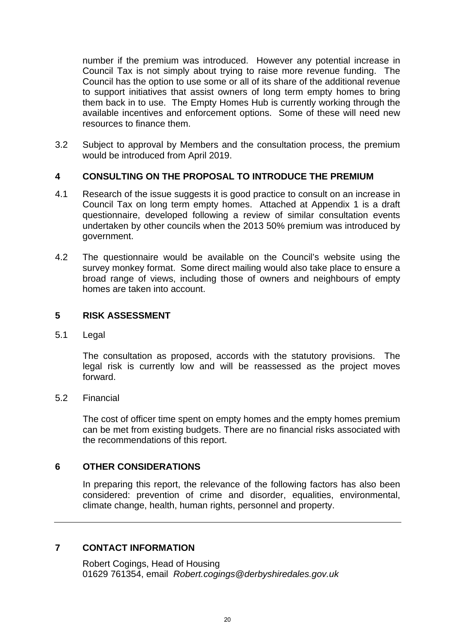number if the premium was introduced. However any potential increase in Council Tax is not simply about trying to raise more revenue funding. The Council has the option to use some or all of its share of the additional revenue to support initiatives that assist owners of long term empty homes to bring them back in to use. The Empty Homes Hub is currently working through the available incentives and enforcement options. Some of these will need new resources to finance them.

3.2 Subject to approval by Members and the consultation process, the premium would be introduced from April 2019.

### **4 CONSULTING ON THE PROPOSAL TO INTRODUCE THE PREMIUM**

- 4.1 Research of the issue suggests it is good practice to consult on an increase in Council Tax on long term empty homes. Attached at Appendix 1 is a draft questionnaire, developed following a review of similar consultation events undertaken by other councils when the 2013 50% premium was introduced by government.
- 4.2 The questionnaire would be available on the Council's website using the survey monkey format. Some direct mailing would also take place to ensure a broad range of views, including those of owners and neighbours of empty homes are taken into account.

### **5 RISK ASSESSMENT**

5.1 Legal

 The consultation as proposed, accords with the statutory provisions. The legal risk is currently low and will be reassessed as the project moves forward.

### 5.2 Financial

 The cost of officer time spent on empty homes and the empty homes premium can be met from existing budgets. There are no financial risks associated with the recommendations of this report.

### **6 OTHER CONSIDERATIONS**

 In preparing this report, the relevance of the following factors has also been considered: prevention of crime and disorder, equalities, environmental, climate change, health, human rights, personnel and property.

### **7 CONTACT INFORMATION**

Robert Cogings, Head of Housing 01629 761354, email *Robert.cogings@derbyshiredales.gov.uk*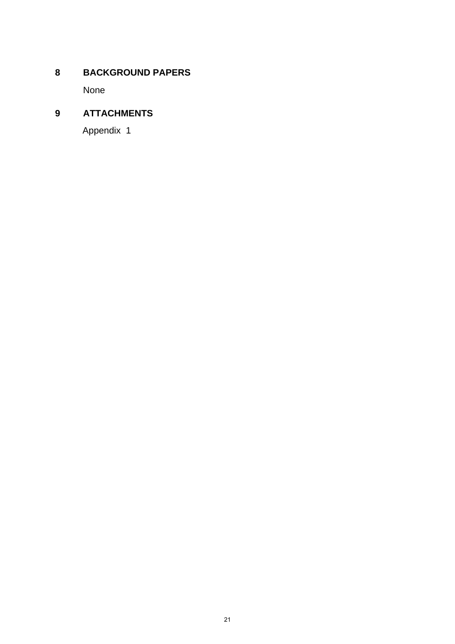### **8 BACKGROUND PAPERS**

None

## **9 ATTACHMENTS**

Appendix 1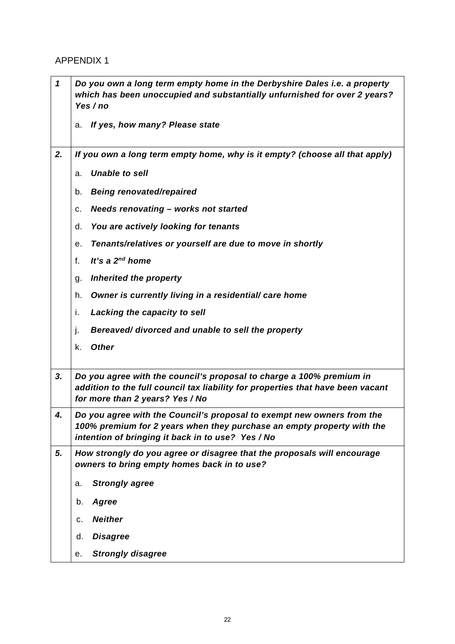### APPENDIX 1

| $\boldsymbol{\mathcal{L}}$ | Do you own a long term empty home in the Derbyshire Dales i.e. a property<br>which has been unoccupied and substantially unfurnished for over 2 years?<br>Yes / no                                    |  |  |  |
|----------------------------|-------------------------------------------------------------------------------------------------------------------------------------------------------------------------------------------------------|--|--|--|
|                            | If yes, how many? Please state<br>а.                                                                                                                                                                  |  |  |  |
| 2.                         | If you own a long term empty home, why is it empty? (choose all that apply)                                                                                                                           |  |  |  |
|                            | <b>Unable to sell</b><br>a.                                                                                                                                                                           |  |  |  |
|                            | <b>Being renovated/repaired</b><br>b.                                                                                                                                                                 |  |  |  |
|                            | <b>Needs renovating - works not started</b><br>с.                                                                                                                                                     |  |  |  |
|                            | You are actively looking for tenants<br>d.                                                                                                                                                            |  |  |  |
|                            | Tenants/relatives or yourself are due to move in shortly<br>е.                                                                                                                                        |  |  |  |
|                            | It's a $2^{nd}$ home<br>f.                                                                                                                                                                            |  |  |  |
|                            | <b>Inherited the property</b><br>g.                                                                                                                                                                   |  |  |  |
|                            | Owner is currently living in a residential/ care home<br>h.                                                                                                                                           |  |  |  |
|                            | i.<br>Lacking the capacity to sell                                                                                                                                                                    |  |  |  |
|                            | j.<br>Bereaved/divorced and unable to sell the property                                                                                                                                               |  |  |  |
|                            | <b>Other</b><br>k.                                                                                                                                                                                    |  |  |  |
| 3.                         | Do you agree with the council's proposal to charge a 100% premium in<br>addition to the full council tax liability for properties that have been vacant<br>for more than 2 years? Yes / No            |  |  |  |
| 4.                         | Do you agree with the Council's proposal to exempt new owners from the<br>100% premium for 2 years when they purchase an empty property with the<br>intention of bringing it back in to use? Yes / No |  |  |  |
| 5.                         | How strongly do you agree or disagree that the proposals will encourage<br>owners to bring empty homes back in to use?                                                                                |  |  |  |
|                            | <b>Strongly agree</b><br>a.                                                                                                                                                                           |  |  |  |
|                            | Agree<br>b.                                                                                                                                                                                           |  |  |  |
|                            | <b>Neither</b><br>c.                                                                                                                                                                                  |  |  |  |
|                            | <b>Disagree</b><br>d.                                                                                                                                                                                 |  |  |  |
|                            | <b>Strongly disagree</b><br>е.                                                                                                                                                                        |  |  |  |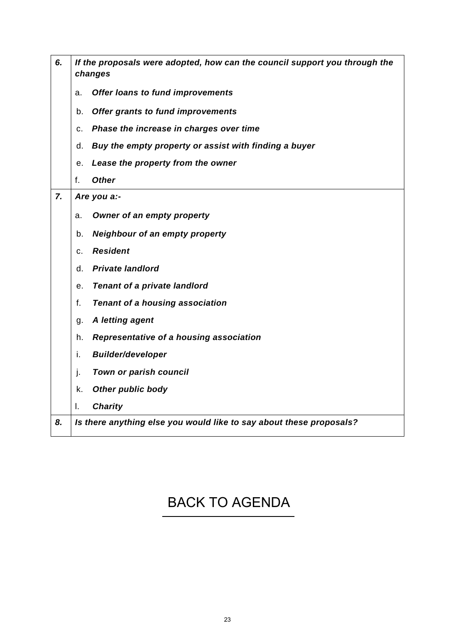| 6. | If the proposals were adopted, how can the council support you through the<br>changes |  |  |  |
|----|---------------------------------------------------------------------------------------|--|--|--|
|    | <b>Offer loans to fund improvements</b><br>a.                                         |  |  |  |
|    | Offer grants to fund improvements<br>b.                                               |  |  |  |
|    | Phase the increase in charges over time<br>c.                                         |  |  |  |
|    | Buy the empty property or assist with finding a buyer<br>d.                           |  |  |  |
|    | Lease the property from the owner<br>е.                                               |  |  |  |
|    | <b>Other</b><br>f.                                                                    |  |  |  |
| 7. | Are you a:-                                                                           |  |  |  |
|    | Owner of an empty property<br>a.                                                      |  |  |  |
|    | <b>Neighbour of an empty property</b><br>b.                                           |  |  |  |
|    | <b>Resident</b><br>c.                                                                 |  |  |  |
|    | <b>Private landlord</b><br>d.                                                         |  |  |  |
|    | <b>Tenant of a private landlord</b><br>е.                                             |  |  |  |
|    | f.<br><b>Tenant of a housing association</b>                                          |  |  |  |
|    | A letting agent<br>g.                                                                 |  |  |  |
|    | Representative of a housing association<br>h.                                         |  |  |  |
|    | <b>Builder/developer</b><br>i.                                                        |  |  |  |
|    | Town or parish council<br>j.                                                          |  |  |  |
|    | <b>Other public body</b><br>k.                                                        |  |  |  |
|    | <b>Charity</b><br>I.                                                                  |  |  |  |
| 8. | Is there anything else you would like to say about these proposals?                   |  |  |  |
|    |                                                                                       |  |  |  |

# [BACK TO AGENDA](#page-1-0)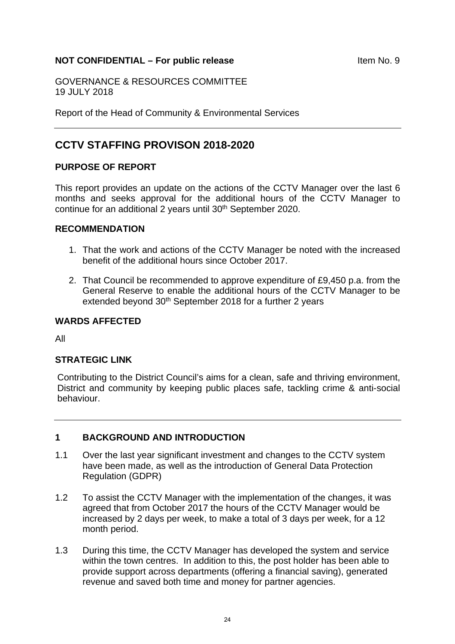### <span id="page-23-0"></span>**NOT CONFIDENTIAL – For public release ITEM 10.9** Item No. 9

GOVERNANCE & RESOURCES COMMITTEE 19 JULY 2018

Report of the Head of Community & Environmental Services

### **CCTV STAFFING PROVISON 2018-2020**

### **PURPOSE OF REPORT**

This report provides an update on the actions of the CCTV Manager over the last 6 months and seeks approval for the additional hours of the CCTV Manager to continue for an additional 2 years until 30th September 2020.

### **RECOMMENDATION**

- 1. That the work and actions of the CCTV Manager be noted with the increased benefit of the additional hours since October 2017.
- 2. That Council be recommended to approve expenditure of £9,450 p.a. from the General Reserve to enable the additional hours of the CCTV Manager to be extended beyond 30<sup>th</sup> September 2018 for a further 2 years

#### **WARDS AFFECTED**

All

### **STRATEGIC LINK**

Contributing to the District Council's aims for a clean, safe and thriving environment, District and community by keeping public places safe, tackling crime & anti-social behaviour.

### **1 BACKGROUND AND INTRODUCTION**

- 1.1 Over the last year significant investment and changes to the CCTV system have been made, as well as the introduction of General Data Protection Regulation (GDPR)
- 1.2 To assist the CCTV Manager with the implementation of the changes, it was agreed that from October 2017 the hours of the CCTV Manager would be increased by 2 days per week, to make a total of 3 days per week, for a 12 month period.
- 1.3 During this time, the CCTV Manager has developed the system and service within the town centres. In addition to this, the post holder has been able to provide support across departments (offering a financial saving), generated revenue and saved both time and money for partner agencies.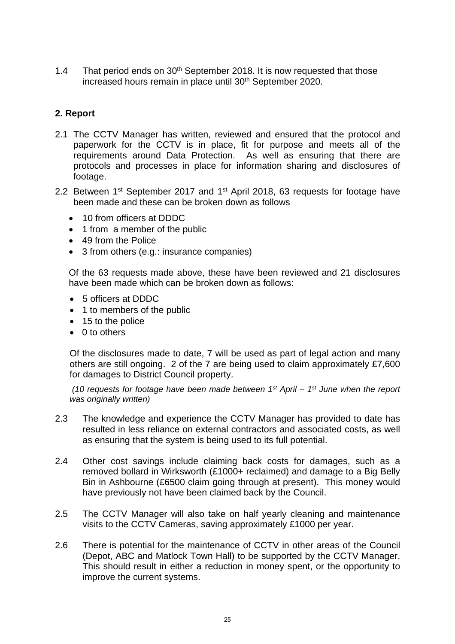1.4 That period ends on 30<sup>th</sup> September 2018. It is now requested that those increased hours remain in place until 30<sup>th</sup> September 2020.

### **2. Report**

- 2.1 The CCTV Manager has written, reviewed and ensured that the protocol and paperwork for the CCTV is in place, fit for purpose and meets all of the requirements around Data Protection. As well as ensuring that there are protocols and processes in place for information sharing and disclosures of footage.
- 2.2 Between 1<sup>st</sup> September 2017 and 1<sup>st</sup> April 2018, 63 requests for footage have been made and these can be broken down as follows
	- 10 from officers at DDDC
	- 1 from a member of the public
	- 49 from the Police
	- 3 from others (e.g.: insurance companies)

Of the 63 requests made above, these have been reviewed and 21 disclosures have been made which can be broken down as follows:

- 5 officers at DDDC
- 1 to members of the public
- 15 to the police
- $\bullet$  0 to others

Of the disclosures made to date, 7 will be used as part of legal action and many others are still ongoing. 2 of the 7 are being used to claim approximately £7,600 for damages to District Council property.

 *(10 requests for footage have been made between 1st April – 1st June when the report was originally written)* 

- 2.3 The knowledge and experience the CCTV Manager has provided to date has resulted in less reliance on external contractors and associated costs, as well as ensuring that the system is being used to its full potential.
- 2.4 Other cost savings include claiming back costs for damages, such as a removed bollard in Wirksworth (£1000+ reclaimed) and damage to a Big Belly Bin in Ashbourne (£6500 claim going through at present). This money would have previously not have been claimed back by the Council.
- 2.5 The CCTV Manager will also take on half yearly cleaning and maintenance visits to the CCTV Cameras, saving approximately £1000 per year.
- 2.6 There is potential for the maintenance of CCTV in other areas of the Council (Depot, ABC and Matlock Town Hall) to be supported by the CCTV Manager. This should result in either a reduction in money spent, or the opportunity to improve the current systems.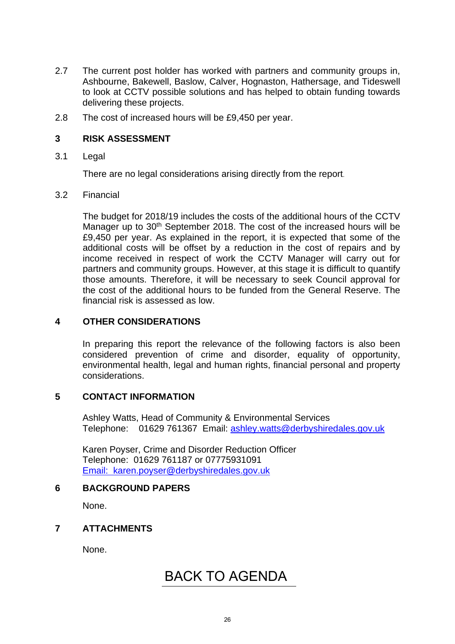- 2.7 The current post holder has worked with partners and community groups in, Ashbourne, Bakewell, Baslow, Calver, Hognaston, Hathersage, and Tideswell to look at CCTV possible solutions and has helped to obtain funding towards delivering these projects.
- 2.8 The cost of increased hours will be £9,450 per year.

### **3 RISK ASSESSMENT**

3.1 Legal

There are no legal considerations arising directly from the report.

### 3.2 Financial

The budget for 2018/19 includes the costs of the additional hours of the CCTV Manager up to 30<sup>th</sup> September 2018. The cost of the increased hours will be £9,450 per year. As explained in the report, it is expected that some of the additional costs will be offset by a reduction in the cost of repairs and by income received in respect of work the CCTV Manager will carry out for partners and community groups. However, at this stage it is difficult to quantify those amounts. Therefore, it will be necessary to seek Council approval for the cost of the additional hours to be funded from the General Reserve. The financial risk is assessed as low.

### **4 OTHER CONSIDERATIONS**

In preparing this report the relevance of the following factors is also been considered prevention of crime and disorder, equality of opportunity, environmental health, legal and human rights, financial personal and property considerations.

### **5 CONTACT INFORMATION**

Ashley Watts, Head of Community & Environmental Services Telephone: 01629 761367 Email: ashley.watts@derbyshiredales.gov.uk

Karen Poyser, Crime and Disorder Reduction Officer Telephone: 01629 761187 or 07775931091 Email: karen.poyser@derbyshiredales.gov.uk

### **6 BACKGROUND PAPERS**

None.

### **7 ATTACHMENTS**

None.

## [BACK TO AGENDA](#page-1-0)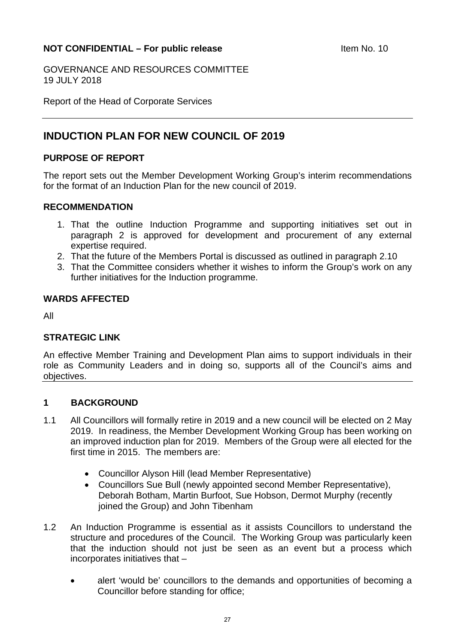### <span id="page-26-0"></span>**NOT CONFIDENTIAL – For public release Manufacture 10 April 10 April 10 April 10 April 20 April 20 April 20 April 20 April 20 April 20 April 20 April 20 April 20 April 20 April 20 April 20 April 20 April 20 April 20 April**

GOVERNANCE AND RESOURCES COMMITTEE 19 JULY 2018

Report of the Head of Corporate Services

## **INDUCTION PLAN FOR NEW COUNCIL OF 2019**

### **PURPOSE OF REPORT**

The report sets out the Member Development Working Group's interim recommendations for the format of an Induction Plan for the new council of 2019.

### **RECOMMENDATION**

- 1. That the outline Induction Programme and supporting initiatives set out in paragraph 2 is approved for development and procurement of any external expertise required.
- 2. That the future of the Members Portal is discussed as outlined in paragraph 2.10
- 3. That the Committee considers whether it wishes to inform the Group's work on any further initiatives for the Induction programme.

### **WARDS AFFECTED**

All

### **STRATEGIC LINK**

An effective Member Training and Development Plan aims to support individuals in their role as Community Leaders and in doing so, supports all of the Council's aims and objectives.

### **1 BACKGROUND**

- 1.1 All Councillors will formally retire in 2019 and a new council will be elected on 2 May 2019. In readiness, the Member Development Working Group has been working on an improved induction plan for 2019. Members of the Group were all elected for the first time in 2015. The members are:
	- Councillor Alyson Hill (lead Member Representative)
	- Councillors Sue Bull (newly appointed second Member Representative), Deborah Botham, Martin Burfoot, Sue Hobson, Dermot Murphy (recently ioined the Group) and John Tibenham
- 1.2 An Induction Programme is essential as it assists Councillors to understand the structure and procedures of the Council. The Working Group was particularly keen that the induction should not just be seen as an event but a process which incorporates initiatives that –
	- alert 'would be' councillors to the demands and opportunities of becoming a Councillor before standing for office;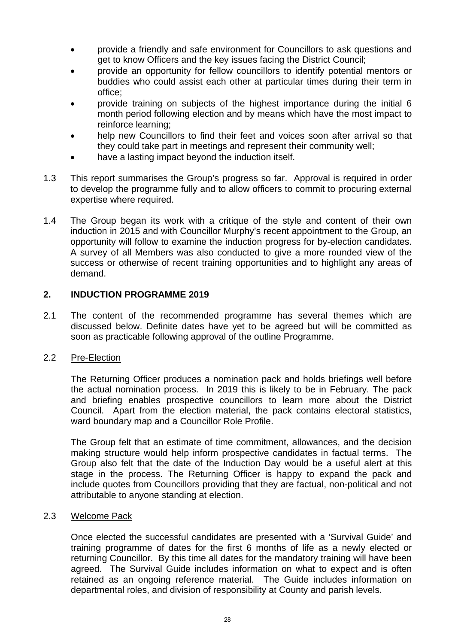- provide a friendly and safe environment for Councillors to ask questions and get to know Officers and the key issues facing the District Council;
- provide an opportunity for fellow councillors to identify potential mentors or buddies who could assist each other at particular times during their term in office;
- provide training on subjects of the highest importance during the initial 6 month period following election and by means which have the most impact to reinforce learning;
- help new Councillors to find their feet and voices soon after arrival so that they could take part in meetings and represent their community well;
- have a lasting impact beyond the induction itself.
- 1.3 This report summarises the Group's progress so far. Approval is required in order to develop the programme fully and to allow officers to commit to procuring external expertise where required.
- 1.4 The Group began its work with a critique of the style and content of their own induction in 2015 and with Councillor Murphy's recent appointment to the Group, an opportunity will follow to examine the induction progress for by-election candidates. A survey of all Members was also conducted to give a more rounded view of the success or otherwise of recent training opportunities and to highlight any areas of demand.

### **2. INDUCTION PROGRAMME 2019**

2.1 The content of the recommended programme has several themes which are discussed below. Definite dates have yet to be agreed but will be committed as soon as practicable following approval of the outline Programme.

### 2.2 Pre-Election

 The Returning Officer produces a nomination pack and holds briefings well before the actual nomination process. In 2019 this is likely to be in February. The pack and briefing enables prospective councillors to learn more about the District Council. Apart from the election material, the pack contains electoral statistics, ward boundary map and a Councillor Role Profile.

 The Group felt that an estimate of time commitment, allowances, and the decision making structure would help inform prospective candidates in factual terms. The Group also felt that the date of the Induction Day would be a useful alert at this stage in the process. The Returning Officer is happy to expand the pack and include quotes from Councillors providing that they are factual, non-political and not attributable to anyone standing at election.

### 2.3 Welcome Pack

 Once elected the successful candidates are presented with a 'Survival Guide' and training programme of dates for the first 6 months of life as a newly elected or returning Councillor. By this time all dates for the mandatory training will have been agreed. The Survival Guide includes information on what to expect and is often retained as an ongoing reference material. The Guide includes information on departmental roles, and division of responsibility at County and parish levels.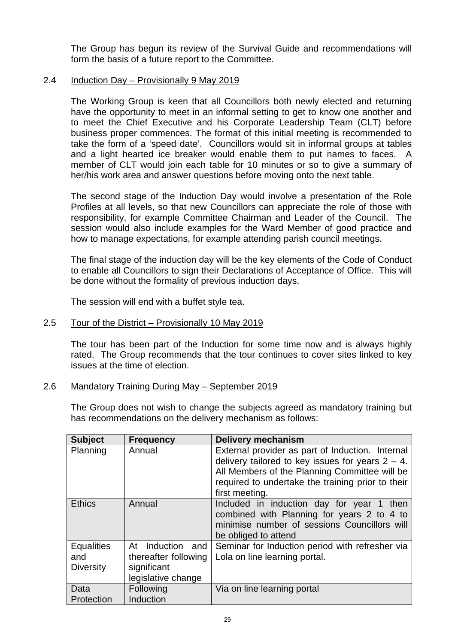The Group has begun its review of the Survival Guide and recommendations will form the basis of a future report to the Committee.

### 2.4 Induction Day – Provisionally 9 May 2019

 The Working Group is keen that all Councillors both newly elected and returning have the opportunity to meet in an informal setting to get to know one another and to meet the Chief Executive and his Corporate Leadership Team (CLT) before business proper commences. The format of this initial meeting is recommended to take the form of a 'speed date'. Councillors would sit in informal groups at tables and a light hearted ice breaker would enable them to put names to faces. A member of CLT would join each table for 10 minutes or so to give a summary of her/his work area and answer questions before moving onto the next table.

 The second stage of the Induction Day would involve a presentation of the Role Profiles at all levels, so that new Councillors can appreciate the role of those with responsibility, for example Committee Chairman and Leader of the Council. The session would also include examples for the Ward Member of good practice and how to manage expectations, for example attending parish council meetings.

 The final stage of the induction day will be the key elements of the Code of Conduct to enable all Councillors to sign their Declarations of Acceptance of Office. This will be done without the formality of previous induction days.

The session will end with a buffet style tea.

### 2.5 Tour of the District – Provisionally 10 May 2019

 The tour has been part of the Induction for some time now and is always highly rated. The Group recommends that the tour continues to cover sites linked to key issues at the time of election.

### 2.6 Mandatory Training During May – September 2019

 The Group does not wish to change the subjects agreed as mandatory training but has recommendations on the delivery mechanism as follows:

| <b>Subject</b>                               | <b>Frequency</b>                                                                 | <b>Delivery mechanism</b>                                                                                                                                                                                                       |
|----------------------------------------------|----------------------------------------------------------------------------------|---------------------------------------------------------------------------------------------------------------------------------------------------------------------------------------------------------------------------------|
| Planning                                     | Annual                                                                           | External provider as part of Induction. Internal<br>delivery tailored to key issues for years $2 - 4$ .<br>All Members of the Planning Committee will be<br>required to undertake the training prior to their<br>first meeting. |
| <b>Ethics</b>                                | Annual                                                                           | Included in induction day for year 1 then<br>combined with Planning for years 2 to 4 to<br>minimise number of sessions Councillors will<br>be obliged to attend                                                                 |
| <b>Equalities</b><br>and<br><b>Diversity</b> | Induction and<br>At<br>thereafter following<br>significant<br>legislative change | Seminar for Induction period with refresher via<br>Lola on line learning portal.                                                                                                                                                |
| Data<br>Protection                           | Following<br>Induction                                                           | Via on line learning portal                                                                                                                                                                                                     |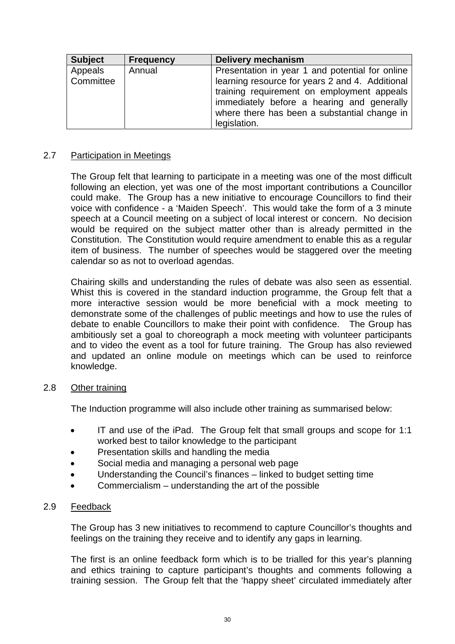| <b>Subject</b>       | <b>Frequency</b> | <b>Delivery mechanism</b>                                                                                                                                                                                                                                      |
|----------------------|------------------|----------------------------------------------------------------------------------------------------------------------------------------------------------------------------------------------------------------------------------------------------------------|
| Appeals<br>Committee | Annual           | Presentation in year 1 and potential for online<br>learning resource for years 2 and 4. Additional<br>training requirement on employment appeals<br>immediately before a hearing and generally<br>where there has been a substantial change in<br>legislation. |

### 2.7 Participation in Meetings

 The Group felt that learning to participate in a meeting was one of the most difficult following an election, yet was one of the most important contributions a Councillor could make. The Group has a new initiative to encourage Councillors to find their voice with confidence - a 'Maiden Speech'. This would take the form of a 3 minute speech at a Council meeting on a subject of local interest or concern. No decision would be required on the subject matter other than is already permitted in the Constitution. The Constitution would require amendment to enable this as a regular item of business. The number of speeches would be staggered over the meeting calendar so as not to overload agendas.

Chairing skills and understanding the rules of debate was also seen as essential. Whist this is covered in the standard induction programme, the Group felt that a more interactive session would be more beneficial with a mock meeting to demonstrate some of the challenges of public meetings and how to use the rules of debate to enable Councillors to make their point with confidence. The Group has ambitiously set a goal to choreograph a mock meeting with volunteer participants and to video the event as a tool for future training. The Group has also reviewed and updated an online module on meetings which can be used to reinforce knowledge.

### 2.8 Other training

The Induction programme will also include other training as summarised below:

- IT and use of the iPad. The Group felt that small groups and scope for 1:1 worked best to tailor knowledge to the participant
- Presentation skills and handling the media
- Social media and managing a personal web page
- Understanding the Council's finances linked to budget setting time
- Commercialism understanding the art of the possible

### 2.9 Feedback

The Group has 3 new initiatives to recommend to capture Councillor's thoughts and feelings on the training they receive and to identify any gaps in learning.

The first is an online feedback form which is to be trialled for this year's planning and ethics training to capture participant's thoughts and comments following a training session. The Group felt that the 'happy sheet' circulated immediately after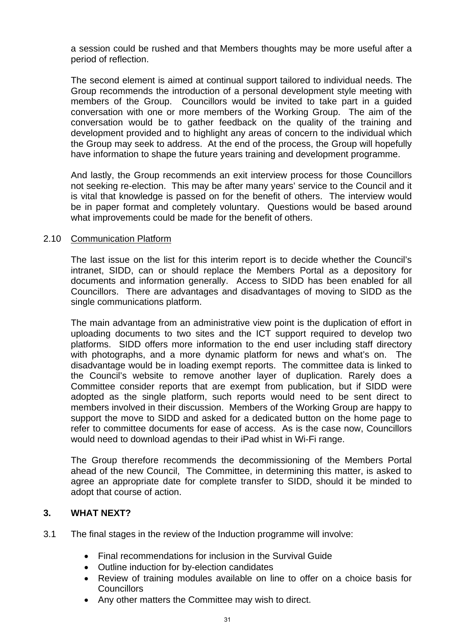a session could be rushed and that Members thoughts may be more useful after a period of reflection.

The second element is aimed at continual support tailored to individual needs. The Group recommends the introduction of a personal development style meeting with members of the Group. Councillors would be invited to take part in a guided conversation with one or more members of the Working Group. The aim of the conversation would be to gather feedback on the quality of the training and development provided and to highlight any areas of concern to the individual which the Group may seek to address. At the end of the process, the Group will hopefully have information to shape the future years training and development programme.

And lastly, the Group recommends an exit interview process for those Councillors not seeking re-election. This may be after many years' service to the Council and it is vital that knowledge is passed on for the benefit of others. The interview would be in paper format and completely voluntary. Questions would be based around what improvements could be made for the benefit of others.

### 2.10 Communication Platform

The last issue on the list for this interim report is to decide whether the Council's intranet, SIDD, can or should replace the Members Portal as a depository for documents and information generally. Access to SIDD has been enabled for all Councillors. There are advantages and disadvantages of moving to SIDD as the single communications platform.

The main advantage from an administrative view point is the duplication of effort in uploading documents to two sites and the ICT support required to develop two platforms. SIDD offers more information to the end user including staff directory with photographs, and a more dynamic platform for news and what's on. The disadvantage would be in loading exempt reports. The committee data is linked to the Council's website to remove another layer of duplication. Rarely does a Committee consider reports that are exempt from publication, but if SIDD were adopted as the single platform, such reports would need to be sent direct to members involved in their discussion. Members of the Working Group are happy to support the move to SIDD and asked for a dedicated button on the home page to refer to committee documents for ease of access. As is the case now, Councillors would need to download agendas to their iPad whist in Wi-Fi range.

The Group therefore recommends the decommissioning of the Members Portal ahead of the new Council, The Committee, in determining this matter, is asked to agree an appropriate date for complete transfer to SIDD, should it be minded to adopt that course of action.

### **3. WHAT NEXT?**

- 3.1 The final stages in the review of the Induction programme will involve:
	- Final recommendations for inclusion in the Survival Guide
	- Outline induction for by-election candidates
	- Review of training modules available on line to offer on a choice basis for **Councillors**
	- Any other matters the Committee may wish to direct.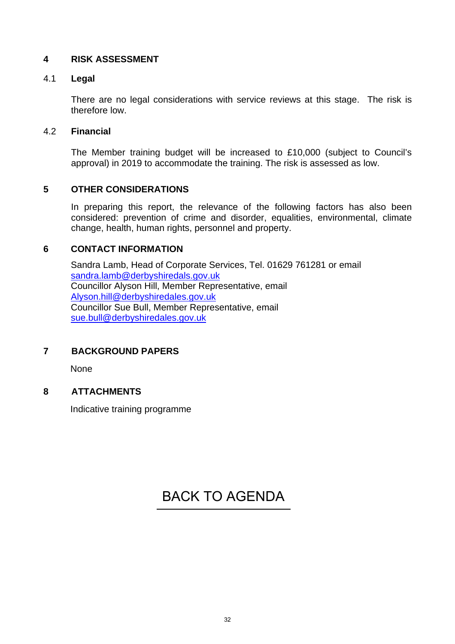### **4 RISK ASSESSMENT**

### 4.1 **Legal**

There are no legal considerations with service reviews at this stage. The risk is therefore low.

### 4.2 **Financial**

The Member training budget will be increased to £10,000 (subject to Council's approval) in 2019 to accommodate the training. The risk is assessed as low.

### **5 OTHER CONSIDERATIONS**

In preparing this report, the relevance of the following factors has also been considered: prevention of crime and disorder, equalities, environmental, climate change, health, human rights, personnel and property.

### **6 CONTACT INFORMATION**

Sandra Lamb, Head of Corporate Services, Tel. 01629 761281 or email sandra.lamb@derbyshiredals.gov.uk Councillor Alyson Hill, Member Representative, email Alyson.hill@derbyshiredales.gov.uk Councillor Sue Bull, Member Representative, email sue.bull@derbyshiredales.gov.uk

### **7 BACKGROUND PAPERS**

None

### **8 ATTACHMENTS**

Indicative training programme

## [BACK TO AGENDA](#page-1-0)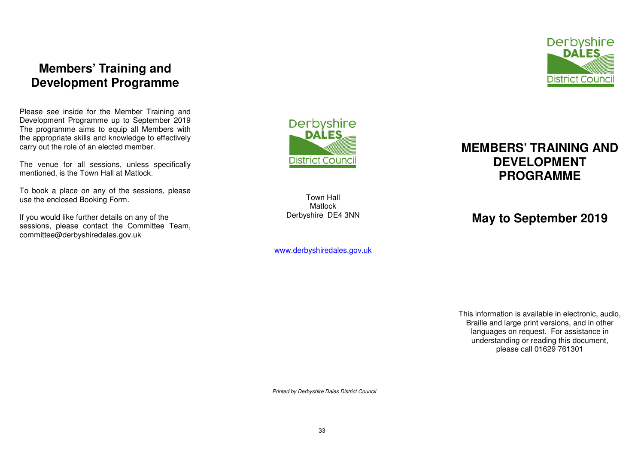## **Members' Training and Development Programme**

Please see inside for the Member Training and Development Programme up to September 2019 The programme aims to equip all Members with the appropriate skills and knowledge to effectively carry out the role of an elected member.

The venue for all sessions, unless specifically mentioned, is the Town Hall at Matlock.

To book a place on any of the sessions, please use the enclosed Booking Form.

If you would like further details on any of the sessions, please contact the Committee Team, committee@derbyshiredales.gov.uk



Town Hall Matlock Derbyshire DE4 3NN

www.derbyshiredales.gov.uk



## **MEMBERS' TRAINING AND DEVELOPMENT PROGRAMME**

## **May to September 2019**

This information is available in electronic, audio, Braille and large print versions, and in other languages on request. For assistance in understanding or reading this document, please call 01629 761301

Printed by Derbyshire Dales District Council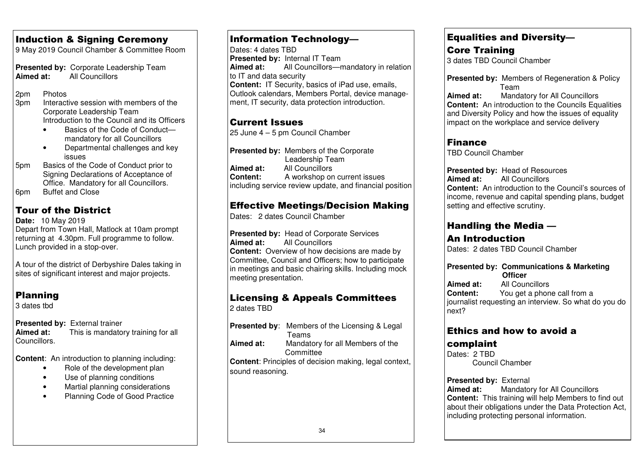## Induction & Signing Ceremony

9 May 2019 Council Chamber & Committee Room

**Presented by:** Corporate Leadership Team **Aimed at:** All Councillors

2pm Photos

- 3pm Interactive session with members of the Corporate Leadership Team Introduction to the Council and its Officers
	- Basics of the Code of Conductmandatory for all Councillors
	- Departmental challenges and key issues
- 5pm Basics of the Code of Conduct prior to Signing Declarations of Acceptance of Office. Mandatory for all Councillors. 6pm Buffet and Close

## Tour of the District

**Date:** 10 May 2019 Depart from Town Hall, Matlock at 10am prompt returning at 4.30pm. Full programme to follow. Lunch provided in a stop-over.

A tour of the district of Derbyshire Dales taking in sites of significant interest and major projects.

## Planning

3 dates tbd

**Presented by:** External trainer<br>**Aimed at:** This is mandato **Aimed at:** This is mandatory training for all Councillors.

**Content**: An introduction to planning including:

- Role of the development plan
- Use of planning conditions
- Martial planning considerations
- Planning Code of Good Practice

### Information Technology—

Dates: 4 dates TBD **Presented by:** Internal IT Team **Aimed at:** All Councillors—mandatory in relation to IT and data security **Content:** IT Security, basics of iPad use, emails, Outlook calendars, Members Portal, device management, IT security, data protection introduction.

### Current Issues

25 June 4 – 5 pm Council Chamber

**Presented by:** Members of the Corporate Leadership Team **Aimed at:** All Councillors **Content:** A workshop on current issues including service review update, and financial position

## Effective Meetings/Decision Making

Dates: 2 dates Council Chamber

**Presented by:** Head of Corporate Services **Aimed at:** All Councillors **Content:** Overview of how decisions are made by Committee, Council and Officers; how to participate in meetings and basic chairing skills. Including mock meeting presentation.

## Licensing & Appeals Committees

2 dates TBD

**Presented by**: Members of the Licensing & Legal Teams **Aimed at:** Mandatory for all Members of the **Committee Content**: Principles of decision making, legal context, sound reasoning.

### Equalities and Diversity—

Core Training 3 dates TBD Council Chamber

**Presented by:** Members of Regeneration & Policy Team

 **Aimed at:** Mandatory for All Councillors **Content:** An introduction to the Councils Equalities and Diversity Policy and how the issues of equality impact on the workplace and service delivery

## Finance

TBD Council Chamber

**Presented by:** Head of Resources **Aimed at:** All Councillors **Content:** An introduction to the Council's sources of income, revenue and capital spending plans, budget setting and effective scrutiny.

## Handling the Media —

## An Introduction

Dates: 2 dates TBD Council Chamber

### **Presented by: Communications & Marketing Officer**

 **Aimed at:** All Councillors **Content:** You get a phone call from a journalist requesting an interview. So what do you do next?

## Ethics and how to avoid a

## complaint

Dates: 2 TBD Council Chamber

### **Presented by: External**

 **Aimed at:** Mandatory for All Councillors **Content:** This training will help Members to find out about their obligations under the Data Protection Act, including protecting personal information.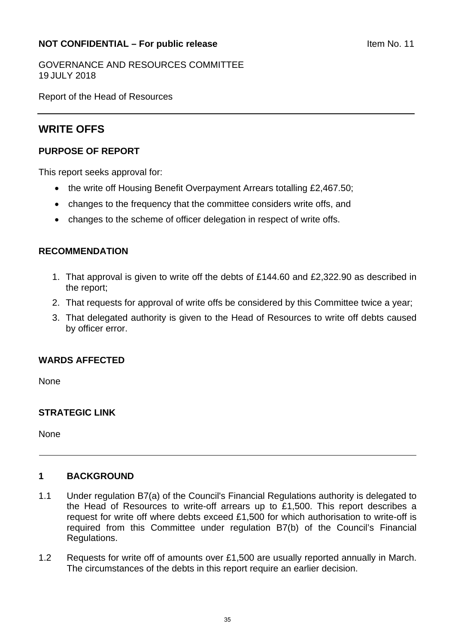### <span id="page-34-0"></span>**NOT CONFIDENTIAL – For public release Internal CONFIDENTIAL – For public release**

GOVERNANCE AND RESOURCES COMMITTEE 19 JULY 2018

Report of the Head of Resources

## **WRITE OFFS**

### **PURPOSE OF REPORT**

This report seeks approval for:

- the write off Housing Benefit Overpayment Arrears totalling £2,467.50;
- changes to the frequency that the committee considers write offs, and
- changes to the scheme of officer delegation in respect of write offs.

### **RECOMMENDATION**

- 1. That approval is given to write off the debts of £144.60 and £2,322.90 as described in the report;
- 2. That requests for approval of write offs be considered by this Committee twice a year;
- 3. That delegated authority is given to the Head of Resources to write off debts caused by officer error.

### **WARDS AFFECTED**

None

### **STRATEGIC LINK**

None

### **1 BACKGROUND**

- 1.1 Under regulation B7(a) of the Council's Financial Regulations authority is delegated to the Head of Resources to write-off arrears up to £1,500. This report describes a request for write off where debts exceed £1,500 for which authorisation to write-off is required from this Committee under regulation B7(b) of the Council's Financial Regulations.
- 1.2 Requests for write off of amounts over £1,500 are usually reported annually in March. The circumstances of the debts in this report require an earlier decision.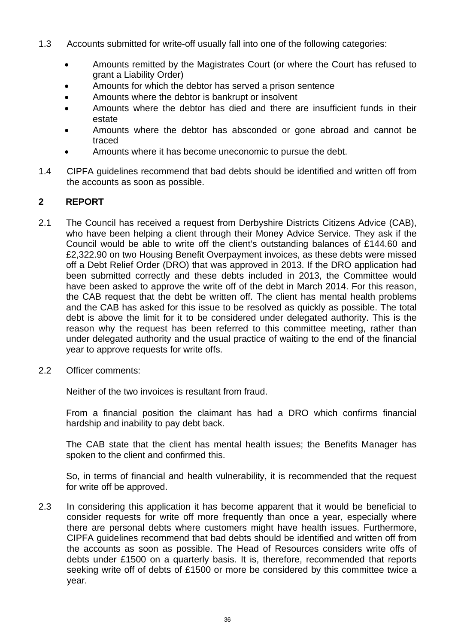- 1.3 Accounts submitted for write-off usually fall into one of the following categories:
	- Amounts remitted by the Magistrates Court (or where the Court has refused to grant a Liability Order)
	- Amounts for which the debtor has served a prison sentence
	- Amounts where the debtor is bankrupt or insolvent
	- Amounts where the debtor has died and there are insufficient funds in their estate
	- Amounts where the debtor has absconded or gone abroad and cannot be traced
	- Amounts where it has become uneconomic to pursue the debt.
- 1.4 CIPFA guidelines recommend that bad debts should be identified and written off from the accounts as soon as possible.

### **2 REPORT**

- 2.1 The Council has received a request from Derbyshire Districts Citizens Advice (CAB), who have been helping a client through their Money Advice Service. They ask if the Council would be able to write off the client's outstanding balances of £144.60 and £2,322.90 on two Housing Benefit Overpayment invoices, as these debts were missed off a Debt Relief Order (DRO) that was approved in 2013. If the DRO application had been submitted correctly and these debts included in 2013, the Committee would have been asked to approve the write off of the debt in March 2014. For this reason, the CAB request that the debt be written off. The client has mental health problems and the CAB has asked for this issue to be resolved as quickly as possible. The total debt is above the limit for it to be considered under delegated authority. This is the reason why the request has been referred to this committee meeting, rather than under delegated authority and the usual practice of waiting to the end of the financial year to approve requests for write offs.
- 2.2 Officer comments:

Neither of the two invoices is resultant from fraud.

From a financial position the claimant has had a DRO which confirms financial hardship and inability to pay debt back.

The CAB state that the client has mental health issues; the Benefits Manager has spoken to the client and confirmed this.

So, in terms of financial and health vulnerability, it is recommended that the request for write off be approved.

2.3 In considering this application it has become apparent that it would be beneficial to consider requests for write off more frequently than once a year, especially where there are personal debts where customers might have health issues. Furthermore, CIPFA guidelines recommend that bad debts should be identified and written off from the accounts as soon as possible. The Head of Resources considers write offs of debts under £1500 on a quarterly basis. It is, therefore, recommended that reports seeking write off of debts of £1500 or more be considered by this committee twice a year.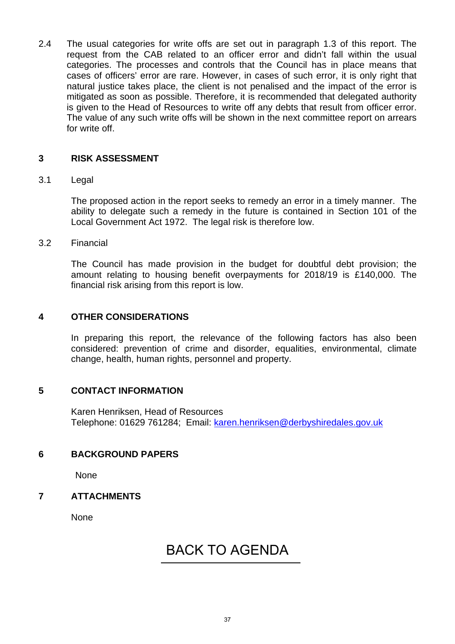2.4 The usual categories for write offs are set out in paragraph 1.3 of this report. The request from the CAB related to an officer error and didn't fall within the usual categories. The processes and controls that the Council has in place means that cases of officers' error are rare. However, in cases of such error, it is only right that natural justice takes place, the client is not penalised and the impact of the error is mitigated as soon as possible. Therefore, it is recommended that delegated authority is given to the Head of Resources to write off any debts that result from officer error. The value of any such write offs will be shown in the next committee report on arrears for write off.

### **3 RISK ASSESSMENT**

### 3.1 Legal

The proposed action in the report seeks to remedy an error in a timely manner. The ability to delegate such a remedy in the future is contained in Section 101 of the Local Government Act 1972. The legal risk is therefore low.

3.2 Financial

The Council has made provision in the budget for doubtful debt provision; the amount relating to housing benefit overpayments for 2018/19 is £140,000. The financial risk arising from this report is low.

### **4 OTHER CONSIDERATIONS**

In preparing this report, the relevance of the following factors has also been considered: prevention of crime and disorder, equalities, environmental, climate change, health, human rights, personnel and property.

### **5 CONTACT INFORMATION**

Karen Henriksen, Head of Resources Telephone: 01629 761284; Email: karen.henriksen@derbyshiredales.gov.uk

### **6 BACKGROUND PAPERS**

None

### **7 ATTACHMENTS**

**None** 

## [BACK TO AGENDA](#page-1-0)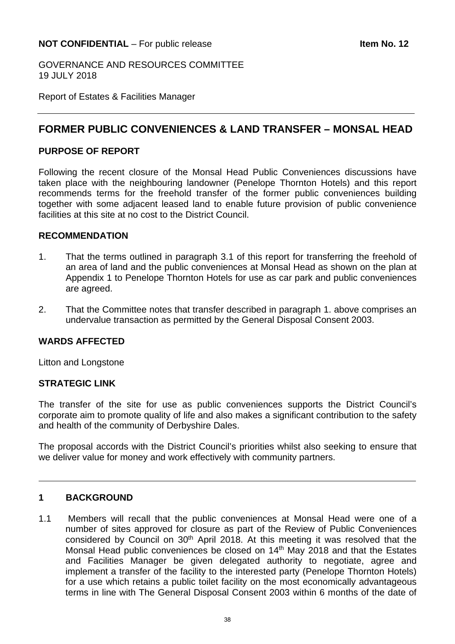### <span id="page-37-0"></span>**NOT CONFIDENTIAL** – For public release **Internal 2 Item No. 12**

GOVERNANCE AND RESOURCES COMMITTEE 19 JULY 2018

Report of Estates & Facilities Manager

## **FORMER PUBLIC CONVENIENCES & LAND TRANSFER – MONSAL HEAD**

### **PURPOSE OF REPORT**

Following the recent closure of the Monsal Head Public Conveniences discussions have taken place with the neighbouring landowner (Penelope Thornton Hotels) and this report recommends terms for the freehold transfer of the former public conveniences building together with some adjacent leased land to enable future provision of public convenience facilities at this site at no cost to the District Council.

### **RECOMMENDATION**

- 1. That the terms outlined in paragraph 3.1 of this report for transferring the freehold of an area of land and the public conveniences at Monsal Head as shown on the plan at Appendix 1 to Penelope Thornton Hotels for use as car park and public conveniences are agreed.
- 2. That the Committee notes that transfer described in paragraph 1. above comprises an undervalue transaction as permitted by the General Disposal Consent 2003.

### **WARDS AFFECTED**

Litton and Longstone

### **STRATEGIC LINK**

The transfer of the site for use as public conveniences supports the District Council's corporate aim to promote quality of life and also makes a significant contribution to the safety and health of the community of Derbyshire Dales.

The proposal accords with the District Council's priorities whilst also seeking to ensure that we deliver value for money and work effectively with community partners.

### **1 BACKGROUND**

1.1 Members will recall that the public conveniences at Monsal Head were one of a number of sites approved for closure as part of the Review of Public Conveniences considered by Council on 30<sup>th</sup> April 2018. At this meeting it was resolved that the Monsal Head public conveniences be closed on 14<sup>th</sup> May 2018 and that the Estates and Facilities Manager be given delegated authority to negotiate, agree and implement a transfer of the facility to the interested party (Penelope Thornton Hotels) for a use which retains a public toilet facility on the most economically advantageous terms in line with The General Disposal Consent 2003 within 6 months of the date of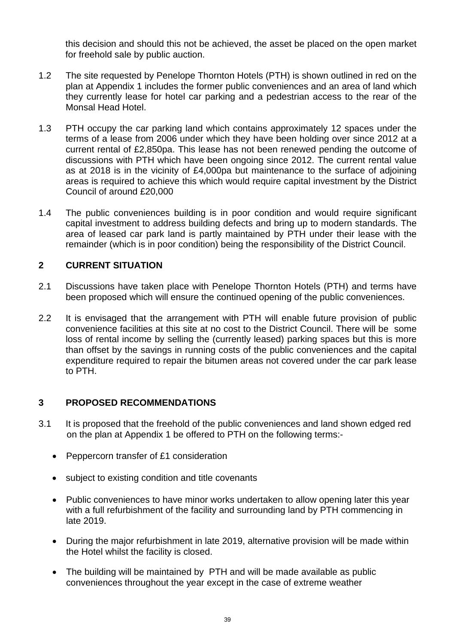this decision and should this not be achieved, the asset be placed on the open market for freehold sale by public auction.

- 1.2 The site requested by Penelope Thornton Hotels (PTH) is shown outlined in red on the plan at Appendix 1 includes the former public conveniences and an area of land which they currently lease for hotel car parking and a pedestrian access to the rear of the Monsal Head Hotel.
- 1.3 PTH occupy the car parking land which contains approximately 12 spaces under the terms of a lease from 2006 under which they have been holding over since 2012 at a current rental of £2,850pa. This lease has not been renewed pending the outcome of discussions with PTH which have been ongoing since 2012. The current rental value as at 2018 is in the vicinity of £4,000pa but maintenance to the surface of adjoining areas is required to achieve this which would require capital investment by the District Council of around £20,000
- 1.4 The public conveniences building is in poor condition and would require significant capital investment to address building defects and bring up to modern standards. The area of leased car park land is partly maintained by PTH under their lease with the remainder (which is in poor condition) being the responsibility of the District Council.

### **2 CURRENT SITUATION**

- 2.1 Discussions have taken place with Penelope Thornton Hotels (PTH) and terms have been proposed which will ensure the continued opening of the public conveniences.
- 2.2 It is envisaged that the arrangement with PTH will enable future provision of public convenience facilities at this site at no cost to the District Council. There will be some loss of rental income by selling the (currently leased) parking spaces but this is more than offset by the savings in running costs of the public conveniences and the capital expenditure required to repair the bitumen areas not covered under the car park lease to PTH.

### **3 PROPOSED RECOMMENDATIONS**

- 3.1 It is proposed that the freehold of the public conveniences and land shown edged red on the plan at Appendix 1 be offered to PTH on the following terms:-
	- Peppercorn transfer of £1 consideration
	- subject to existing condition and title covenants
	- Public conveniences to have minor works undertaken to allow opening later this year with a full refurbishment of the facility and surrounding land by PTH commencing in late 2019.
	- During the major refurbishment in late 2019, alternative provision will be made within the Hotel whilst the facility is closed.
	- The building will be maintained by PTH and will be made available as public conveniences throughout the year except in the case of extreme weather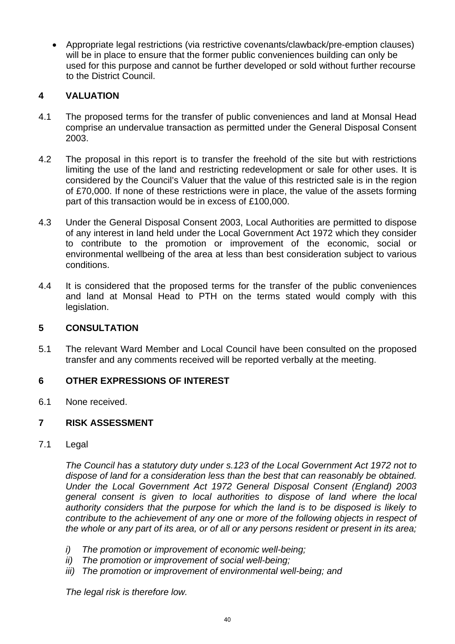Appropriate legal restrictions (via restrictive covenants/clawback/pre-emption clauses) will be in place to ensure that the former public conveniences building can only be used for this purpose and cannot be further developed or sold without further recourse to the District Council.

### **4 VALUATION**

- 4.1 The proposed terms for the transfer of public conveniences and land at Monsal Head comprise an undervalue transaction as permitted under the General Disposal Consent 2003.
- 4.2 The proposal in this report is to transfer the freehold of the site but with restrictions limiting the use of the land and restricting redevelopment or sale for other uses. It is considered by the Council's Valuer that the value of this restricted sale is in the region of £70,000. If none of these restrictions were in place, the value of the assets forming part of this transaction would be in excess of £100,000.
- 4.3 Under the General Disposal Consent 2003, Local Authorities are permitted to dispose of any interest in land held under the Local Government Act 1972 which they consider to contribute to the promotion or improvement of the economic, social or environmental wellbeing of the area at less than best consideration subject to various conditions.
- 4.4 It is considered that the proposed terms for the transfer of the public conveniences and land at Monsal Head to PTH on the terms stated would comply with this legislation.

### **5 CONSULTATION**

5.1 The relevant Ward Member and Local Council have been consulted on the proposed transfer and any comments received will be reported verbally at the meeting.

### **6 OTHER EXPRESSIONS OF INTEREST**

6.1 None received.

### **7 RISK ASSESSMENT**

7.1 Legal

*The Council has a statutory duty under s.123 of the Local Government Act 1972 not to dispose of land for a consideration less than the best that can reasonably be obtained. Under the Local Government Act 1972 General Disposal Consent (England) 2003 general consent is given to local authorities to dispose of land where the local authority considers that the purpose for which the land is to be disposed is likely to contribute to the achievement of any one or more of the following objects in respect of the whole or any part of its area, or of all or any persons resident or present in its area;* 

- *i) The promotion or improvement of economic well-being;*
- *ii) The promotion or improvement of social well-being;*
- *iii) The promotion or improvement of environmental well-being; and*

*The legal risk is therefore low.*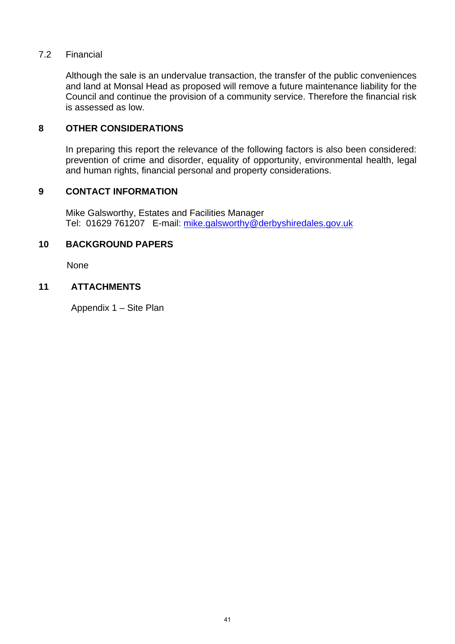### 7.2 Financial

 Although the sale is an undervalue transaction, the transfer of the public conveniences and land at Monsal Head as proposed will remove a future maintenance liability for the Council and continue the provision of a community service. Therefore the financial risk is assessed as low.

### **8 OTHER CONSIDERATIONS**

 In preparing this report the relevance of the following factors is also been considered: prevention of crime and disorder, equality of opportunity, environmental health, legal and human rights, financial personal and property considerations.

### **9 CONTACT INFORMATION**

 Mike Galsworthy, Estates and Facilities Manager Tel: 01629 761207 E-mail: mike.galsworthy@derbyshiredales.gov.uk

### **10 BACKGROUND PAPERS**

None

### **11 ATTACHMENTS**

Appendix 1 – Site Plan